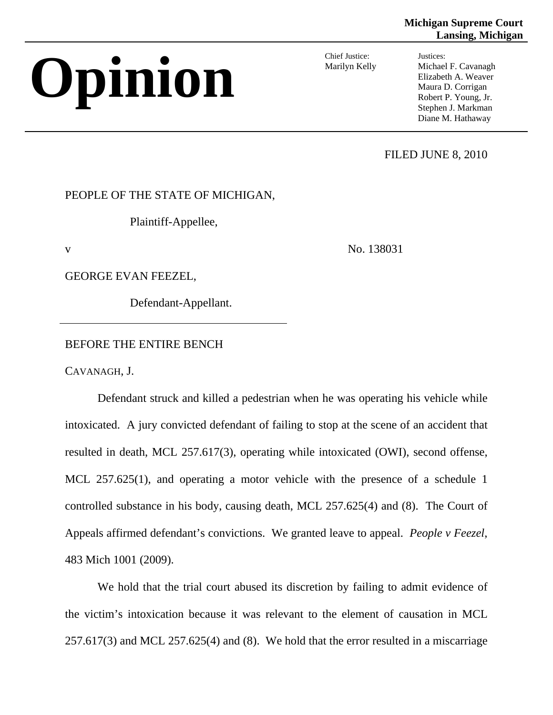## **Michigan Supreme Court Lansing, Michigan**

# **Opinion** Chief Justice:

Marilyn Kelly

Justices: Michael F. Cavanagh Elizabeth A. Weaver Maura D. Corrigan Robert P. Young, Jr. Stephen J. Markman Diane M. Hathaway

FILED JUNE 8, 2010

PEOPLE OF THE STATE OF MICHIGAN,

Plaintiff-Appellee,

v No. 138031

GEORGE EVAN FEEZEL,

Defendant-Appellant.

# BEFORE THE ENTIRE BENCH

CAVANAGH, J.

Defendant struck and killed a pedestrian when he was operating his vehicle while intoxicated. A jury convicted defendant of failing to stop at the scene of an accident that resulted in death, MCL 257.617(3), operating while intoxicated (OWI), second offense, MCL 257.625(1), and operating a motor vehicle with the presence of a schedule 1 controlled substance in his body, causing death, MCL 257.625(4) and (8). The Court of Appeals affirmed defendant's convictions. We granted leave to appeal. *People v Feezel*, 483 Mich 1001 (2009).

We hold that the trial court abused its discretion by failing to admit evidence of the victim's intoxication because it was relevant to the element of causation in MCL 257.617(3) and MCL 257.625(4) and (8). We hold that the error resulted in a miscarriage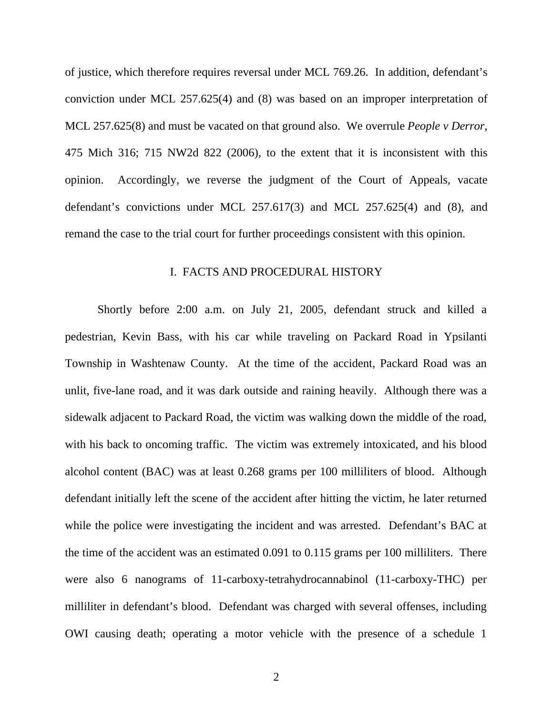of justice, which therefore requires reversal under MCL 769.26. In addition, defendant's conviction under MCL 257.625(4) and (8) was based on an improper interpretation of MCL 257.625(8) and must be vacated on that ground also. We overrule *People v Derror*, 475 Mich 316; 715 NW2d 822 (2006), to the extent that it is inconsistent with this opinion. Accordingly, we reverse the judgment of the Court of Appeals, vacate defendant's convictions under MCL 257.617(3) and MCL 257.625(4) and (8), and remand the case to the trial court for further proceedings consistent with this opinion.

## I. FACTS AND PROCEDURAL HISTORY

Shortly before 2:00 a.m. on July 21, 2005, defendant struck and killed a pedestrian, Kevin Bass, with his car while traveling on Packard Road in Ypsilanti Township in Washtenaw County. At the time of the accident, Packard Road was an unlit, five-lane road, and it was dark outside and raining heavily. Although there was a sidewalk adjacent to Packard Road, the victim was walking down the middle of the road, with his back to oncoming traffic. The victim was extremely intoxicated, and his blood alcohol content (BAC) was at least 0.268 grams per 100 milliliters of blood. Although defendant initially left the scene of the accident after hitting the victim, he later returned while the police were investigating the incident and was arrested. Defendant's BAC at the time of the accident was an estimated 0.091 to 0.115 grams per 100 milliliters. There were also 6 nanograms of 11-carboxy-tetrahydrocannabinol (11-carboxy-THC) per milliliter in defendant's blood. Defendant was charged with several offenses, including OWI causing death; operating a motor vehicle with the presence of a schedule 1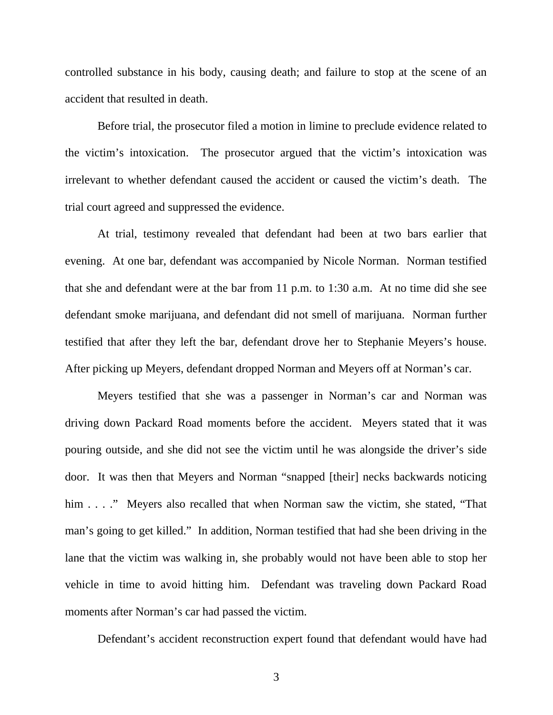controlled substance in his body, causing death; and failure to stop at the scene of an accident that resulted in death.

Before trial, the prosecutor filed a motion in limine to preclude evidence related to the victim's intoxication. The prosecutor argued that the victim's intoxication was irrelevant to whether defendant caused the accident or caused the victim's death. The trial court agreed and suppressed the evidence.

At trial, testimony revealed that defendant had been at two bars earlier that evening. At one bar, defendant was accompanied by Nicole Norman. Norman testified that she and defendant were at the bar from 11 p.m. to 1:30 a.m. At no time did she see defendant smoke marijuana, and defendant did not smell of marijuana. Norman further testified that after they left the bar, defendant drove her to Stephanie Meyers's house. After picking up Meyers, defendant dropped Norman and Meyers off at Norman's car.

Meyers testified that she was a passenger in Norman's car and Norman was driving down Packard Road moments before the accident. Meyers stated that it was pouring outside, and she did not see the victim until he was alongside the driver's side door. It was then that Meyers and Norman "snapped [their] necks backwards noticing him . . . ." Meyers also recalled that when Norman saw the victim, she stated, "That man's going to get killed." In addition, Norman testified that had she been driving in the lane that the victim was walking in, she probably would not have been able to stop her vehicle in time to avoid hitting him. Defendant was traveling down Packard Road moments after Norman's car had passed the victim.

Defendant's accident reconstruction expert found that defendant would have had

3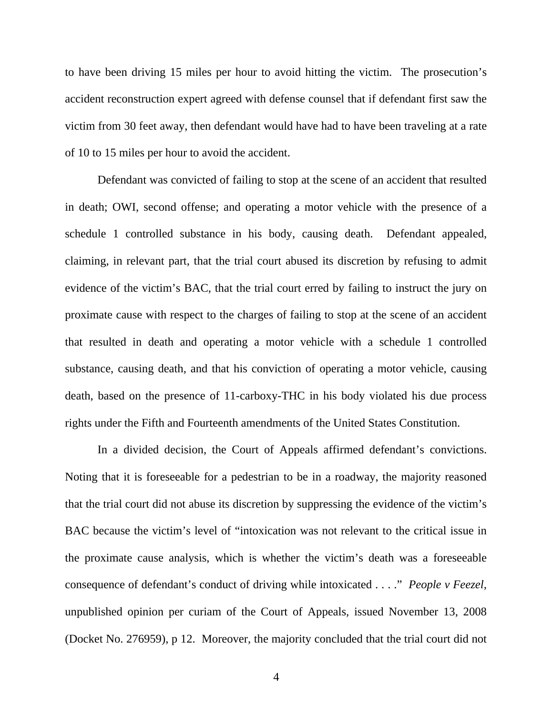to have been driving 15 miles per hour to avoid hitting the victim. The prosecution's accident reconstruction expert agreed with defense counsel that if defendant first saw the victim from 30 feet away, then defendant would have had to have been traveling at a rate of 10 to 15 miles per hour to avoid the accident.

Defendant was convicted of failing to stop at the scene of an accident that resulted in death; OWI, second offense; and operating a motor vehicle with the presence of a schedule 1 controlled substance in his body, causing death. Defendant appealed, claiming, in relevant part, that the trial court abused its discretion by refusing to admit evidence of the victim's BAC, that the trial court erred by failing to instruct the jury on proximate cause with respect to the charges of failing to stop at the scene of an accident that resulted in death and operating a motor vehicle with a schedule 1 controlled substance, causing death, and that his conviction of operating a motor vehicle, causing death, based on the presence of 11-carboxy-THC in his body violated his due process rights under the Fifth and Fourteenth amendments of the United States Constitution.

In a divided decision, the Court of Appeals affirmed defendant's convictions. Noting that it is foreseeable for a pedestrian to be in a roadway, the majority reasoned that the trial court did not abuse its discretion by suppressing the evidence of the victim's BAC because the victim's level of "intoxication was not relevant to the critical issue in the proximate cause analysis, which is whether the victim's death was a foreseeable consequence of defendant's conduct of driving while intoxicated . . . ." *People v Feezel*, unpublished opinion per curiam of the Court of Appeals, issued November 13, 2008 (Docket No. 276959), p 12. Moreover, the majority concluded that the trial court did not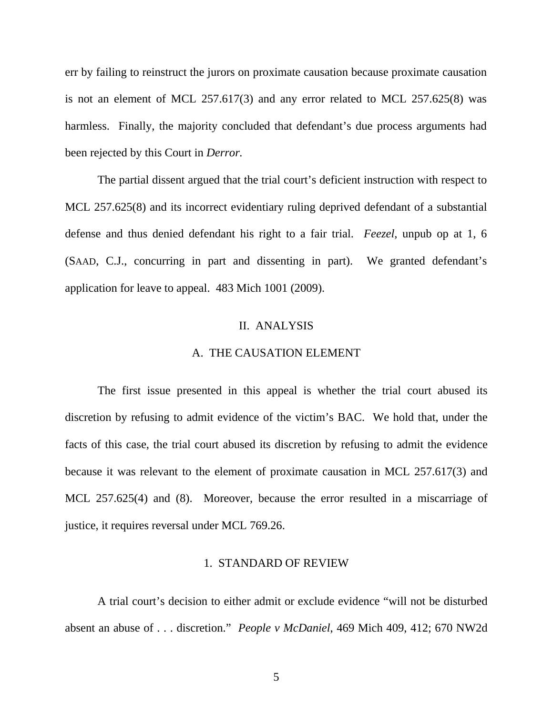err by failing to reinstruct the jurors on proximate causation because proximate causation is not an element of MCL 257.617(3) and any error related to MCL 257.625(8) was harmless. Finally, the majority concluded that defendant's due process arguments had been rejected by this Court in *Derror.* 

The partial dissent argued that the trial court's deficient instruction with respect to MCL 257.625(8) and its incorrect evidentiary ruling deprived defendant of a substantial defense and thus denied defendant his right to a fair trial. *Feezel*, unpub op at 1, 6 (SAAD, C.J., concurring in part and dissenting in part). We granted defendant's application for leave to appeal. 483 Mich 1001 (2009).

#### II. ANALYSIS

#### A. THE CAUSATION ELEMENT

The first issue presented in this appeal is whether the trial court abused its discretion by refusing to admit evidence of the victim's BAC. We hold that, under the facts of this case, the trial court abused its discretion by refusing to admit the evidence because it was relevant to the element of proximate causation in MCL 257.617(3) and MCL 257.625(4) and (8). Moreover, because the error resulted in a miscarriage of justice, it requires reversal under MCL 769.26.

#### 1. STANDARD OF REVIEW

A trial court's decision to either admit or exclude evidence "will not be disturbed absent an abuse of . . . discretion." *People v McDaniel*, 469 Mich 409, 412; 670 NW2d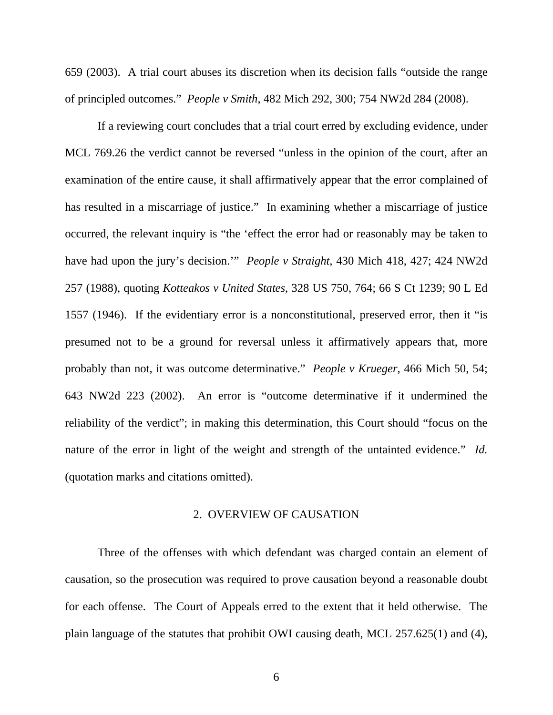659 (2003). A trial court abuses its discretion when its decision falls "outside the range of principled outcomes."*People v Smith*, 482 Mich 292, 300; 754 NW2d 284 (2008).

If a reviewing court concludes that a trial court erred by excluding evidence, under MCL 769.26 the verdict cannot be reversed "unless in the opinion of the court, after an examination of the entire cause, it shall affirmatively appear that the error complained of has resulted in a miscarriage of justice." In examining whether a miscarriage of justice occurred, the relevant inquiry is "the 'effect the error had or reasonably may be taken to have had upon the jury's decision.'" *People v Straight*, 430 Mich 418, 427; 424 NW2d 257 (1988), quoting *Kotteakos v United States*, 328 US 750, 764; 66 S Ct 1239; 90 L Ed 1557 (1946). If the evidentiary error is a nonconstitutional, preserved error, then it "is presumed not to be a ground for reversal unless it affirmatively appears that, more probably than not, it was outcome determinative." *People v Krueger,* 466 Mich 50, 54; 643 NW2d 223 (2002). An error is "outcome determinative if it undermined the reliability of the verdict"; in making this determination, this Court should "focus on the nature of the error in light of the weight and strength of the untainted evidence." *Id.*  (quotation marks and citations omitted).

#### 2. OVERVIEW OF CAUSATION

Three of the offenses with which defendant was charged contain an element of causation, so the prosecution was required to prove causation beyond a reasonable doubt for each offense. The Court of Appeals erred to the extent that it held otherwise. The plain language of the statutes that prohibit OWI causing death, MCL 257.625(1) and (4),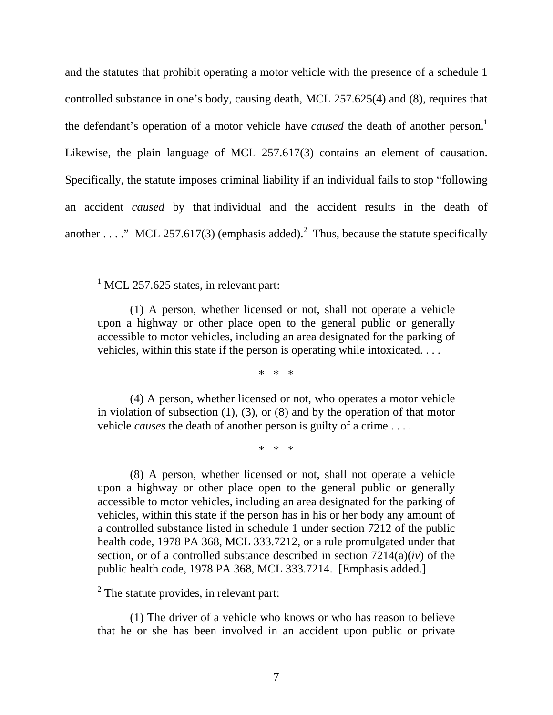and the statutes that prohibit operating a motor vehicle with the presence of a schedule 1 controlled substance in one's body, causing death, MCL 257.625(4) and (8), requires that the defendant's operation of a motor vehicle have *caused* the death of another person.<sup>1</sup> Likewise, the plain language of MCL 257.617(3) contains an element of causation. Specifically, the statute imposes criminal liability if an individual fails to stop "following an accident *caused* by that individual and the accident results in the death of another . . . ." MCL 257.617(3) (emphasis added).<sup>2</sup> Thus, because the statute specifically

 $\frac{1}{1}$  $<sup>1</sup>$  MCL 257.625 states, in relevant part:</sup>

> (1) A person, whether licensed or not, shall not operate a vehicle upon a highway or other place open to the general public or generally accessible to motor vehicles, including an area designated for the parking of vehicles, within this state if the person is operating while intoxicated. . . .

> > \* \* \*

(4) A person, whether licensed or not, who operates a motor vehicle in violation of subsection (1), (3), or (8) and by the operation of that motor vehicle *causes* the death of another person is guilty of a crime . . . .

\* \* \*

(8) A person, whether licensed or not, shall not operate a vehicle upon a highway or other place open to the general public or generally accessible to motor vehicles, including an area designated for the parking of vehicles, within this state if the person has in his or her body any amount of a controlled substance listed in schedule 1 under section 7212 of the public health code, 1978 PA 368, MCL 333.7212, or a rule promulgated under that section, or of a controlled substance described in section 7214(a)(*iv*) of the public health code, 1978 PA 368, MCL 333.7214. [Emphasis added.]

 $2^2$  The statute provides, in relevant part:

(1) The driver of a vehicle who knows or who has reason to believe that he or she has been involved in an accident upon public or private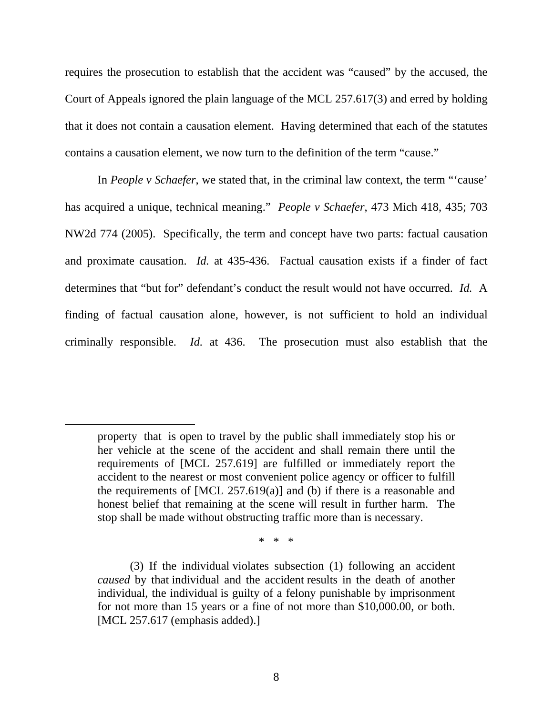requires the prosecution to establish that the accident was "caused" by the accused, the Court of Appeals ignored the plain language of the MCL 257.617(3) and erred by holding that it does not contain a causation element. Having determined that each of the statutes contains a causation element, we now turn to the definition of the term "cause."

In *People v Schaefer*, we stated that, in the criminal law context, the term "'cause' has acquired a unique, technical meaning." *People v Schaefer*, 473 Mich 418, 435; 703 NW2d 774 (2005). Specifically, the term and concept have two parts: factual causation and proximate causation. *Id.* at 435-436. Factual causation exists if a finder of fact determines that "but for" defendant's conduct the result would not have occurred. *Id.* A finding of factual causation alone, however, is not sufficient to hold an individual criminally responsible. *Id.* at 436. The prosecution must also establish that the

 $\overline{a}$ 

\* \* \*

property that is open to travel by the public shall immediately stop his or her vehicle at the scene of the accident and shall remain there until the requirements of [MCL 257.619] are fulfilled or immediately report the accident to the nearest or most convenient police agency or officer to fulfill the requirements of  $[MCL 257.619(a)]$  and (b) if there is a reasonable and honest belief that remaining at the scene will result in further harm. The stop shall be made without obstructing traffic more than is necessary.

<sup>(3)</sup> If the individual violates subsection (1) following an accident *caused* by that individual and the accident results in the death of another individual, the individual is guilty of a felony punishable by imprisonment for not more than 15 years or a fine of not more than \$10,000.00, or both. [MCL 257.617 (emphasis added).]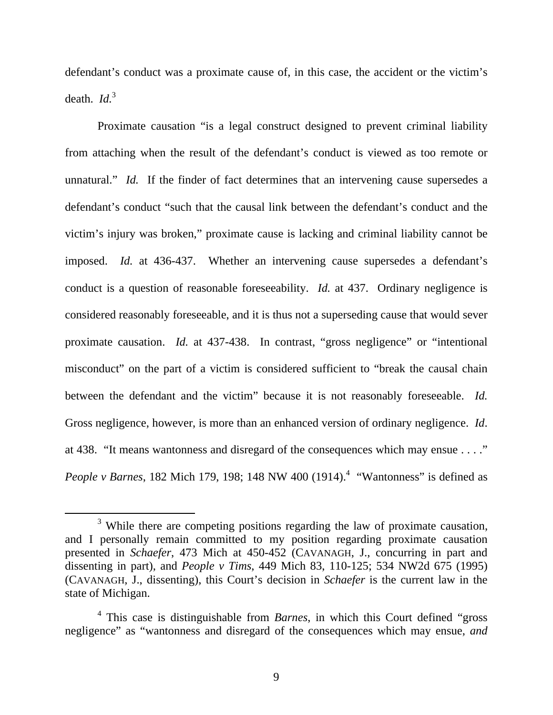defendant's conduct was a proximate cause of, in this case, the accident or the victim's death.  $Id<sup>3</sup>$ 

Proximate causation "is a legal construct designed to prevent criminal liability from attaching when the result of the defendant's conduct is viewed as too remote or unnatural." *Id.* If the finder of fact determines that an intervening cause supersedes a defendant's conduct "such that the causal link between the defendant's conduct and the victim's injury was broken," proximate cause is lacking and criminal liability cannot be imposed. *Id.* at 436-437. Whether an intervening cause supersedes a defendant's conduct is a question of reasonable foreseeability. *Id.* at 437. Ordinary negligence is considered reasonably foreseeable, and it is thus not a superseding cause that would sever proximate causation. *Id.* at 437-438.In contrast, "gross negligence" or "intentional misconduct" on the part of a victim is considered sufficient to "break the causal chain between the defendant and the victim" because it is not reasonably foreseeable. *Id.* Gross negligence, however, is more than an enhanced version of ordinary negligence. *Id*. at 438. "It means wantonness and disregard of the consequences which may ensue . . . ." *People v Barnes*, 182 Mich 179, 198; 148 NW 400 (1914).<sup>4</sup> "Wantonness" is defined as

 $\frac{1}{3}$ <sup>3</sup> While there are competing positions regarding the law of proximate causation, and I personally remain committed to my position regarding proximate causation presented in *Schaefer*, 473 Mich at 450-452 (CAVANAGH, J., concurring in part and dissenting in part), and *People v Tims*, 449 Mich 83, 110-125; 534 NW2d 675 (1995) (CAVANAGH, J., dissenting), this Court's decision in *Schaefer* is the current law in the state of Michigan.

<sup>4</sup> This case is distinguishable from *Barnes*, in which this Court defined "gross negligence" as "wantonness and disregard of the consequences which may ensue, *and*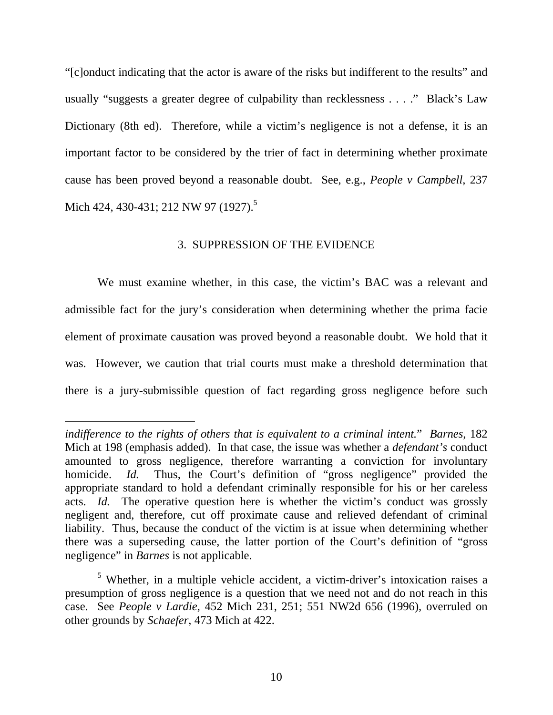"[c]onduct indicating that the actor is aware of the risks but indifferent to the results" and usually "suggests a greater degree of culpability than recklessness . . . ." Black's Law Dictionary (8th ed). Therefore, while a victim's negligence is not a defense, it is an important factor to be considered by the trier of fact in determining whether proximate cause has been proved beyond a reasonable doubt. See, e.g., *People v Campbell*, 237 Mich 424, 430-431; 212 NW 97 (1927).<sup>5</sup>

# 3. SUPPRESSION OF THE EVIDENCE

We must examine whether, in this case, the victim's BAC was a relevant and admissible fact for the jury's consideration when determining whether the prima facie element of proximate causation was proved beyond a reasonable doubt. We hold that it was. However, we caution that trial courts must make a threshold determination that there is a jury-submissible question of fact regarding gross negligence before such

 $\overline{a}$ 

*indifference to the rights of others that is equivalent to a criminal intent.*" *Barnes*, 182 Mich at 198 (emphasis added). In that case, the issue was whether a *defendant's* conduct amounted to gross negligence, therefore warranting a conviction for involuntary homicide. *Id.* Thus, the Court's definition of "gross negligence" provided the appropriate standard to hold a defendant criminally responsible for his or her careless acts. *Id.* The operative question here is whether the victim's conduct was grossly negligent and, therefore, cut off proximate cause and relieved defendant of criminal liability. Thus, because the conduct of the victim is at issue when determining whether there was a superseding cause, the latter portion of the Court's definition of "gross negligence" in *Barnes* is not applicable.

<sup>&</sup>lt;sup>5</sup> Whether, in a multiple vehicle accident, a victim-driver's intoxication raises a presumption of gross negligence is a question that we need not and do not reach in this case. See *People v Lardie*, 452 Mich 231, 251; 551 NW2d 656 (1996), overruled on other grounds by *Schaefer*, 473 Mich at 422.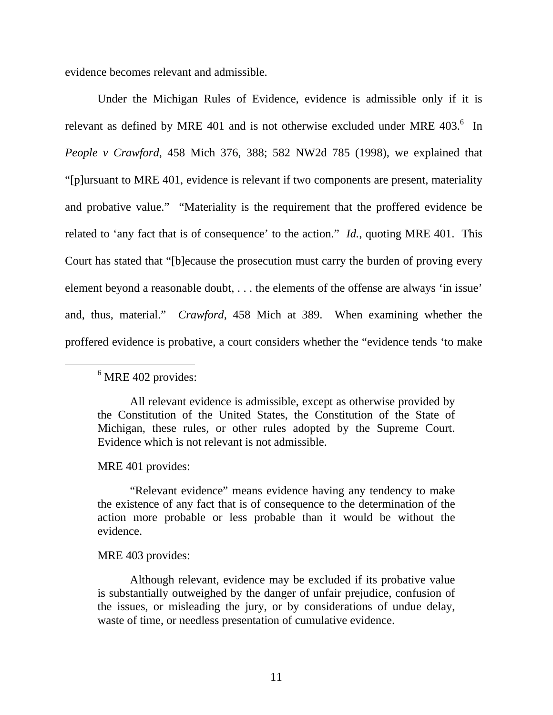evidence becomes relevant and admissible.

Under the Michigan Rules of Evidence, evidence is admissible only if it is relevant as defined by MRE 401 and is not otherwise excluded under MRE  $403<sup>6</sup>$  In *People v Crawford*, 458 Mich 376, 388; 582 NW2d 785 (1998), we explained that "[p]ursuant to MRE 401, evidence is relevant if two components are present, materiality and probative value." "Materiality is the requirement that the proffered evidence be related to 'any fact that is of consequence' to the action." *Id.*, quoting MRE 401. This Court has stated that "[b]ecause the prosecution must carry the burden of proving every element beyond a reasonable doubt, . . . the elements of the offense are always 'in issue' and, thus, material." *Crawford,* 458 Mich at 389. When examining whether the proffered evidence is probative, a court considers whether the "evidence tends 'to make

## MRE 401 provides:

"Relevant evidence" means evidence having any tendency to make the existence of any fact that is of consequence to the determination of the action more probable or less probable than it would be without the evidence.

## MRE 403 provides:

Although relevant, evidence may be excluded if its probative value is substantially outweighed by the danger of unfair prejudice, confusion of the issues, or misleading the jury, or by considerations of undue delay, waste of time, or needless presentation of cumulative evidence.

 <sup>6</sup>  $<sup>6</sup>$  MRE 402 provides:</sup>

All relevant evidence is admissible, except as otherwise provided by the Constitution of the United States, the Constitution of the State of Michigan, these rules, or other rules adopted by the Supreme Court. Evidence which is not relevant is not admissible.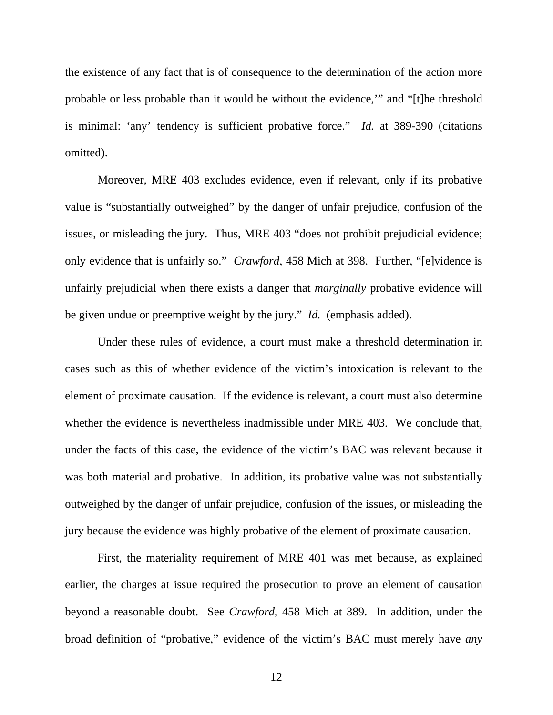the existence of any fact that is of consequence to the determination of the action more probable or less probable than it would be without the evidence,'" and "[t]he threshold is minimal: 'any' tendency is sufficient probative force." *Id.* at 389-390 (citations omitted).

Moreover, MRE 403 excludes evidence, even if relevant, only if its probative value is "substantially outweighed" by the danger of unfair prejudice, confusion of the issues, or misleading the jury. Thus, MRE 403 "does not prohibit prejudicial evidence; only evidence that is unfairly so." *Crawford*, 458 Mich at 398. Further, "[e]vidence is unfairly prejudicial when there exists a danger that *marginally* probative evidence will be given undue or preemptive weight by the jury." *Id.* (emphasis added).

Under these rules of evidence, a court must make a threshold determination in cases such as this of whether evidence of the victim's intoxication is relevant to the element of proximate causation. If the evidence is relevant, a court must also determine whether the evidence is nevertheless inadmissible under MRE 403. We conclude that, under the facts of this case, the evidence of the victim's BAC was relevant because it was both material and probative. In addition, its probative value was not substantially outweighed by the danger of unfair prejudice, confusion of the issues, or misleading the jury because the evidence was highly probative of the element of proximate causation.

First, the materiality requirement of MRE 401 was met because, as explained earlier, the charges at issue required the prosecution to prove an element of causation beyond a reasonable doubt. See *Crawford*, 458 Mich at 389. In addition, under the broad definition of "probative," evidence of the victim's BAC must merely have *any*

12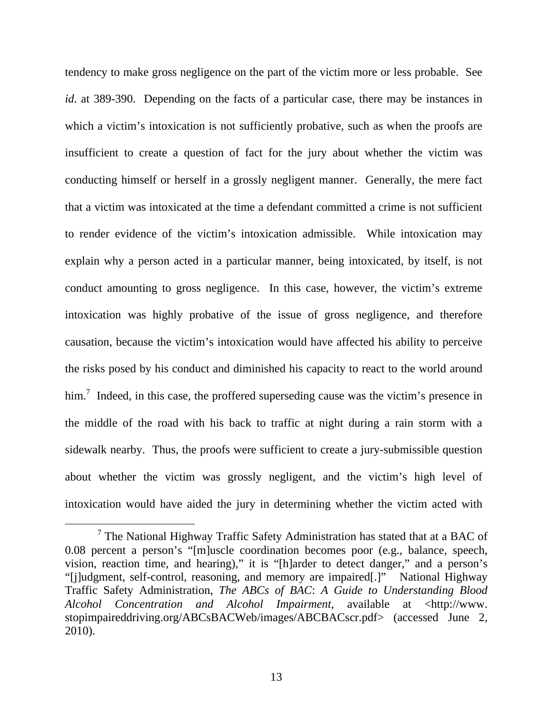tendency to make gross negligence on the part of the victim more or less probable. See *id.* at 389-390. Depending on the facts of a particular case, there may be instances in which a victim's intoxication is not sufficiently probative, such as when the proofs are insufficient to create a question of fact for the jury about whether the victim was conducting himself or herself in a grossly negligent manner. Generally, the mere fact that a victim was intoxicated at the time a defendant committed a crime is not sufficient to render evidence of the victim's intoxication admissible. While intoxication may explain why a person acted in a particular manner, being intoxicated, by itself, is not conduct amounting to gross negligence. In this case, however, the victim's extreme intoxication was highly probative of the issue of gross negligence, and therefore causation, because the victim's intoxication would have affected his ability to perceive the risks posed by his conduct and diminished his capacity to react to the world around him.<sup>7</sup> Indeed, in this case, the proffered superseding cause was the victim's presence in the middle of the road with his back to traffic at night during a rain storm with a sidewalk nearby. Thus, the proofs were sufficient to create a jury-submissible question about whether the victim was grossly negligent, and the victim's high level of intoxication would have aided the jury in determining whether the victim acted with

 <sup>7</sup>  $7$  The National Highway Traffic Safety Administration has stated that at a BAC of 0.08 percent a person's "[m]uscle coordination becomes poor (e.g., balance, speech, vision, reaction time, and hearing)," it is "[h]arder to detect danger," and a person's "[j]udgment, self-control, reasoning, and memory are impaired[.]" National Highway Traffic Safety Administration, *The ABCs of BAC*: *A Guide to Understanding Blood Alcohol Concentration and Alcohol Impairment*, available at <http://www. stopimpaireddriving.org/ABCsBACWeb/images/ABCBACscr.pdf> (accessed June 2, 2010).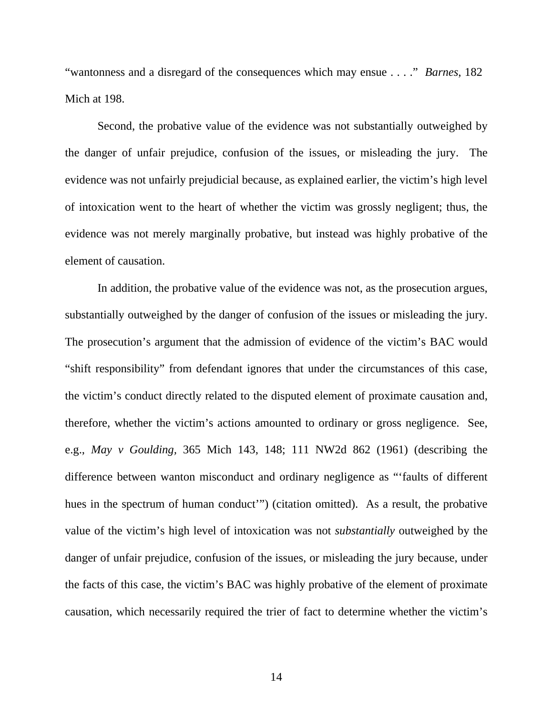"wantonness and a disregard of the consequences which may ensue . . . ." *Barnes*, 182 Mich at 198.

Second, the probative value of the evidence was not substantially outweighed by the danger of unfair prejudice, confusion of the issues, or misleading the jury. The evidence was not unfairly prejudicial because, as explained earlier, the victim's high level of intoxication went to the heart of whether the victim was grossly negligent; thus, the evidence was not merely marginally probative, but instead was highly probative of the element of causation.

In addition, the probative value of the evidence was not, as the prosecution argues, substantially outweighed by the danger of confusion of the issues or misleading the jury. The prosecution's argument that the admission of evidence of the victim's BAC would "shift responsibility" from defendant ignores that under the circumstances of this case, the victim's conduct directly related to the disputed element of proximate causation and, therefore, whether the victim's actions amounted to ordinary or gross negligence. See, e.g., *May v Goulding,* 365 Mich 143, 148; 111 NW2d 862 (1961) (describing the difference between wanton misconduct and ordinary negligence as "'faults of different hues in the spectrum of human conduct'") (citation omitted). As a result, the probative value of the victim's high level of intoxication was not *substantially* outweighed by the danger of unfair prejudice, confusion of the issues, or misleading the jury because, under the facts of this case, the victim's BAC was highly probative of the element of proximate causation, which necessarily required the trier of fact to determine whether the victim's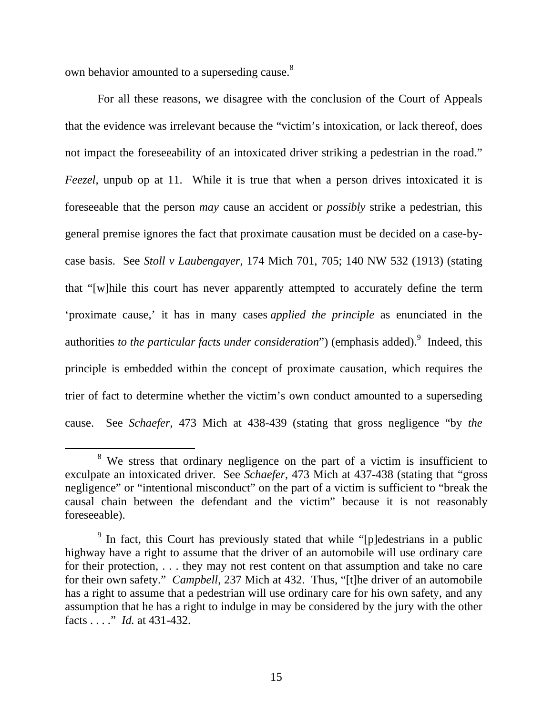own behavior amounted to a superseding cause.<sup>8</sup>

For all these reasons, we disagree with the conclusion of the Court of Appeals that the evidence was irrelevant because the "victim's intoxication, or lack thereof, does not impact the foreseeability of an intoxicated driver striking a pedestrian in the road." *Feezel*, unpub op at 11. While it is true that when a person drives intoxicated it is foreseeable that the person *may* cause an accident or *possibly* strike a pedestrian, this general premise ignores the fact that proximate causation must be decided on a case-bycase basis. See *Stoll v Laubengayer*, 174 Mich 701, 705; 140 NW 532 (1913) (stating that "[w]hile this court has never apparently attempted to accurately define the term 'proximate cause,' it has in many cases *applied the principle* as enunciated in the authorities *to the particular facts under consideration*") (emphasis added). <sup>9</sup> Indeed, this principle is embedded within the concept of proximate causation, which requires the trier of fact to determine whether the victim's own conduct amounted to a superseding cause. See *Schaefer*, 473 Mich at 438-439 (stating that gross negligence "by *the* 

 <sup>8</sup> <sup>8</sup> We stress that ordinary negligence on the part of a victim is insufficient to exculpate an intoxicated driver. See *Schaefer*, 473 Mich at 437-438 (stating that "gross negligence" or "intentional misconduct" on the part of a victim is sufficient to "break the causal chain between the defendant and the victim" because it is not reasonably foreseeable).

<sup>&</sup>lt;sup>9</sup> In fact, this Court has previously stated that while "[p]edestrians in a public highway have a right to assume that the driver of an automobile will use ordinary care for their protection, . . . they may not rest content on that assumption and take no care for their own safety." *Campbell*, 237 Mich at 432. Thus, "[t]he driver of an automobile has a right to assume that a pedestrian will use ordinary care for his own safety, and any assumption that he has a right to indulge in may be considered by the jury with the other facts . . . ." *Id.* at 431-432.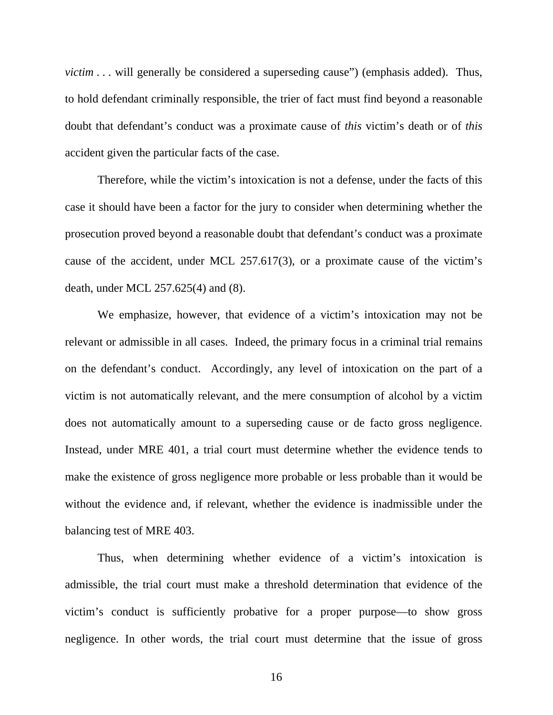*victim* . . . will generally be considered a superseding cause" (emphasis added). Thus, to hold defendant criminally responsible, the trier of fact must find beyond a reasonable doubt that defendant's conduct was a proximate cause of *this* victim's death or of *this*  accident given the particular facts of the case.

Therefore, while the victim's intoxication is not a defense, under the facts of this case it should have been a factor for the jury to consider when determining whether the prosecution proved beyond a reasonable doubt that defendant's conduct was a proximate cause of the accident, under MCL 257.617(3), or a proximate cause of the victim's death, under MCL 257.625(4) and (8).

We emphasize, however, that evidence of a victim's intoxication may not be relevant or admissible in all cases. Indeed, the primary focus in a criminal trial remains on the defendant's conduct. Accordingly, any level of intoxication on the part of a victim is not automatically relevant, and the mere consumption of alcohol by a victim does not automatically amount to a superseding cause or de facto gross negligence. Instead, under MRE 401, a trial court must determine whether the evidence tends to make the existence of gross negligence more probable or less probable than it would be without the evidence and, if relevant, whether the evidence is inadmissible under the balancing test of MRE 403.

Thus, when determining whether evidence of a victim's intoxication is admissible, the trial court must make a threshold determination that evidence of the victim's conduct is sufficiently probative for a proper purpose—to show gross negligence. In other words, the trial court must determine that the issue of gross

16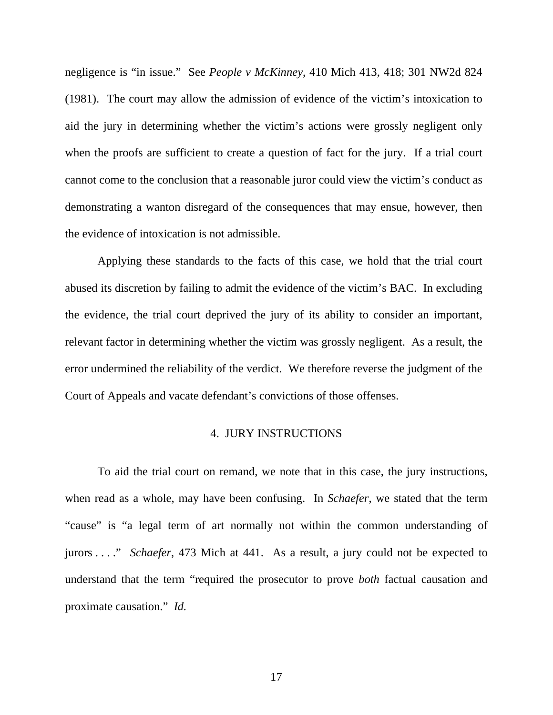negligence is "in issue." See *People v McKinney*, 410 Mich 413, 418; 301 NW2d 824 (1981). The court may allow the admission of evidence of the victim's intoxication to aid the jury in determining whether the victim's actions were grossly negligent only when the proofs are sufficient to create a question of fact for the jury. If a trial court cannot come to the conclusion that a reasonable juror could view the victim's conduct as demonstrating a wanton disregard of the consequences that may ensue, however, then the evidence of intoxication is not admissible.

Applying these standards to the facts of this case, we hold that the trial court abused its discretion by failing to admit the evidence of the victim's BAC. In excluding the evidence, the trial court deprived the jury of its ability to consider an important, relevant factor in determining whether the victim was grossly negligent. As a result, the error undermined the reliability of the verdict. We therefore reverse the judgment of the Court of Appeals and vacate defendant's convictions of those offenses.

# 4. JURY INSTRUCTIONS

To aid the trial court on remand, we note that in this case, the jury instructions, when read as a whole, may have been confusing. In *Schaefer*, we stated that the term "cause" is "a legal term of art normally not within the common understanding of jurors . . . ." *Schaefer*, 473 Mich at 441. As a result, a jury could not be expected to understand that the term "required the prosecutor to prove *both* factual causation and proximate causation." *Id.* 

17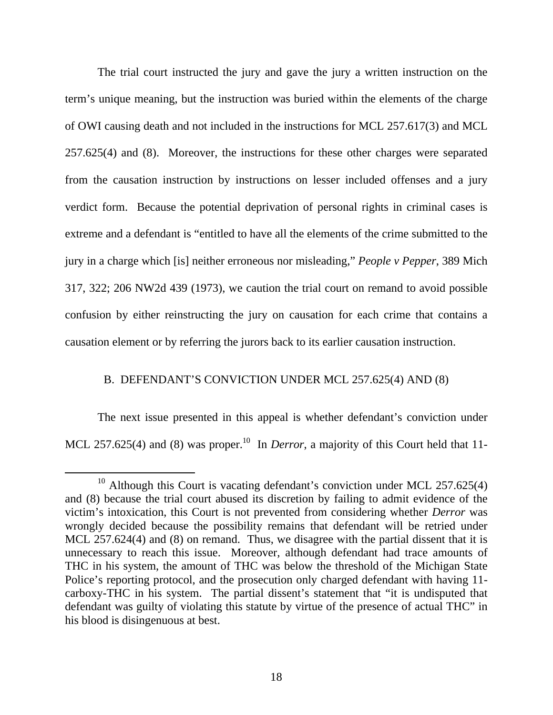The trial court instructed the jury and gave the jury a written instruction on the term's unique meaning, but the instruction was buried within the elements of the charge of OWI causing death and not included in the instructions for MCL 257.617(3) and MCL 257.625(4) and (8). Moreover, the instructions for these other charges were separated from the causation instruction by instructions on lesser included offenses and a jury verdict form. Because the potential deprivation of personal rights in criminal cases is extreme and a defendant is "entitled to have all the elements of the crime submitted to the jury in a charge which [is] neither erroneous nor misleading," *People v Pepper*, 389 Mich 317, 322; 206 NW2d 439 (1973), we caution the trial court on remand to avoid possible confusion by either reinstructing the jury on causation for each crime that contains a causation element or by referring the jurors back to its earlier causation instruction.

## B. DEFENDANT'S CONVICTION UNDER MCL 257.625(4) AND (8)

The next issue presented in this appeal is whether defendant's conviction under MCL 257.625(4) and (8) was proper.<sup>10</sup> In *Derror*, a majority of this Court held that 11-

<sup>&</sup>lt;sup>10</sup> Although this Court is vacating defendant's conviction under MCL 257.625(4) and (8) because the trial court abused its discretion by failing to admit evidence of the victim's intoxication, this Court is not prevented from considering whether *Derror* was wrongly decided because the possibility remains that defendant will be retried under MCL 257.624(4) and (8) on remand. Thus, we disagree with the partial dissent that it is unnecessary to reach this issue. Moreover, although defendant had trace amounts of THC in his system, the amount of THC was below the threshold of the Michigan State Police's reporting protocol, and the prosecution only charged defendant with having 11 carboxy-THC in his system. The partial dissent's statement that "it is undisputed that defendant was guilty of violating this statute by virtue of the presence of actual THC" in his blood is disingenuous at best.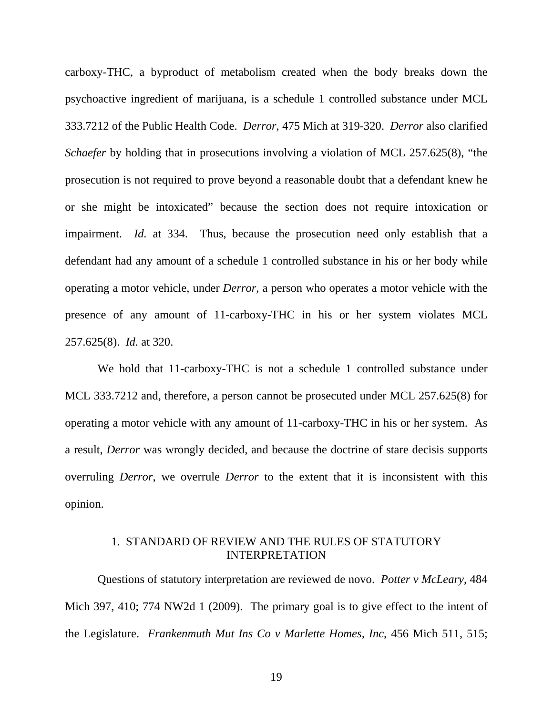carboxy-THC, a byproduct of metabolism created when the body breaks down the psychoactive ingredient of marijuana, is a schedule 1 controlled substance under MCL 333.7212 of the Public Health Code. *Derror*, 475 Mich at 319-320. *Derror* also clarified *Schaefer* by holding that in prosecutions involving a violation of MCL 257.625(8), "the prosecution is not required to prove beyond a reasonable doubt that a defendant knew he or she might be intoxicated" because the section does not require intoxication or impairment. *Id.* at 334. Thus, because the prosecution need only establish that a defendant had any amount of a schedule 1 controlled substance in his or her body while operating a motor vehicle, under *Derror*, a person who operates a motor vehicle with the presence of any amount of 11-carboxy-THC in his or her system violates MCL 257.625(8). *Id.* at 320.

We hold that 11-carboxy-THC is not a schedule 1 controlled substance under MCL 333.7212 and, therefore, a person cannot be prosecuted under MCL 257.625(8) for operating a motor vehicle with any amount of 11-carboxy-THC in his or her system. As a result, *Derror* was wrongly decided, and because the doctrine of stare decisis supports overruling *Derror*, we overrule *Derror* to the extent that it is inconsistent with this opinion.

# 1. STANDARD OF REVIEW AND THE RULES OF STATUTORY INTERPRETATION

Questions of statutory interpretation are reviewed de novo. *Potter v McLeary*, 484 Mich 397, 410; 774 NW2d 1 (2009). The primary goal is to give effect to the intent of the Legislature. *Frankenmuth Mut Ins Co v Marlette Homes, Inc*, 456 Mich 511, 515;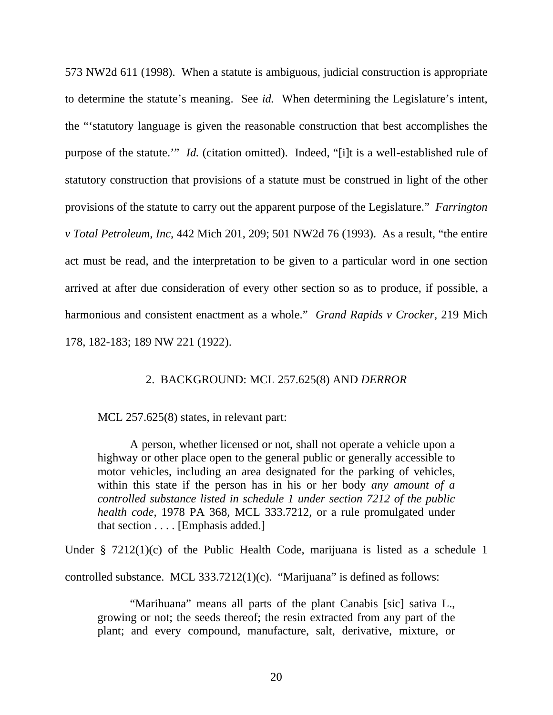573 NW2d 611 (1998). When a statute is ambiguous, judicial construction is appropriate to determine the statute's meaning. See *id.* When determining the Legislature's intent, the "'statutory language is given the reasonable construction that best accomplishes the purpose of the statute." *Id.* (citation omitted). Indeed, "[i]t is a well-established rule of statutory construction that provisions of a statute must be construed in light of the other provisions of the statute to carry out the apparent purpose of the Legislature." *Farrington v Total Petroleum, Inc,* 442 Mich 201, 209; 501 NW2d 76 (1993). As a result, "the entire act must be read, and the interpretation to be given to a particular word in one section arrived at after due consideration of every other section so as to produce, if possible, a harmonious and consistent enactment as a whole." *Grand Rapids v Crocker,* 219 Mich 178, 182-183; 189 NW 221 (1922).

## 2. BACKGROUND: MCL 257.625(8) AND *DERROR*

MCL 257.625(8) states, in relevant part:

A person, whether licensed or not, shall not operate a vehicle upon a highway or other place open to the general public or generally accessible to motor vehicles, including an area designated for the parking of vehicles, within this state if the person has in his or her body *any amount of a controlled substance listed in schedule 1 under section 7212 of the public health code*, 1978 PA 368, MCL 333.7212, or a rule promulgated under that section . . . . [Emphasis added.]

Under § 7212(1)(c) of the Public Health Code, marijuana is listed as a schedule 1 controlled substance. MCL 333.7212(1)(c). "Marijuana" is defined as follows:

"Marihuana" means all parts of the plant Canabis [sic] sativa L., growing or not; the seeds thereof; the resin extracted from any part of the plant; and every compound, manufacture, salt, derivative, mixture, or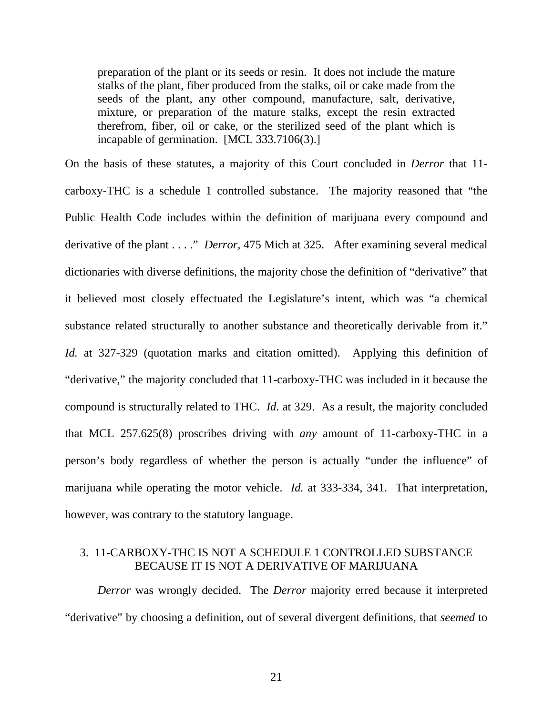preparation of the plant or its seeds or resin. It does not include the mature stalks of the plant, fiber produced from the stalks, oil or cake made from the seeds of the plant, any other compound, manufacture, salt, derivative, mixture, or preparation of the mature stalks, except the resin extracted therefrom, fiber, oil or cake, or the sterilized seed of the plant which is incapable of germination. [MCL 333.7106(3).]

On the basis of these statutes, a majority of this Court concluded in *Derror* that 11 carboxy-THC is a schedule 1 controlled substance. The majority reasoned that "the Public Health Code includes within the definition of marijuana every compound and derivative of the plant . . . ." *Derror*, 475 Mich at 325. After examining several medical dictionaries with diverse definitions, the majority chose the definition of "derivative" that it believed most closely effectuated the Legislature's intent, which was "a chemical substance related structurally to another substance and theoretically derivable from it." *Id.* at 327-329 (quotation marks and citation omitted). Applying this definition of "derivative," the majority concluded that 11-carboxy-THC was included in it because the compound is structurally related to THC. *Id.* at 329. As a result, the majority concluded that MCL 257.625(8) proscribes driving with *any* amount of 11-carboxy-THC in a person's body regardless of whether the person is actually "under the influence" of marijuana while operating the motor vehicle. *Id.* at 333-334, 341. That interpretation, however, was contrary to the statutory language.

# 3. 11-CARBOXY-THC IS NOT A SCHEDULE 1 CONTROLLED SUBSTANCE BECAUSE IT IS NOT A DERIVATIVE OF MARIJUANA

*Derror* was wrongly decided. The *Derror* majority erred because it interpreted "derivative" by choosing a definition, out of several divergent definitions, that *seemed* to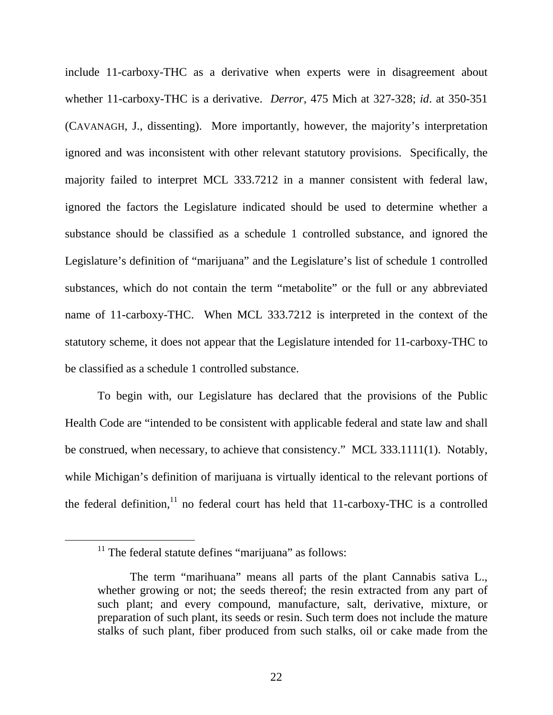include 11-carboxy-THC as a derivative when experts were in disagreement about whether 11-carboxy-THC is a derivative. *Derror*, 475 Mich at 327-328; *id*. at 350-351 (CAVANAGH, J., dissenting). More importantly, however, the majority's interpretation ignored and was inconsistent with other relevant statutory provisions. Specifically, the majority failed to interpret MCL 333.7212 in a manner consistent with federal law, ignored the factors the Legislature indicated should be used to determine whether a substance should be classified as a schedule 1 controlled substance, and ignored the Legislature's definition of "marijuana" and the Legislature's list of schedule 1 controlled substances, which do not contain the term "metabolite" or the full or any abbreviated name of 11-carboxy-THC. When MCL 333.7212 is interpreted in the context of the statutory scheme, it does not appear that the Legislature intended for 11-carboxy-THC to be classified as a schedule 1 controlled substance.

To begin with, our Legislature has declared that the provisions of the Public Health Code are "intended to be consistent with applicable federal and state law and shall be construed, when necessary, to achieve that consistency." MCL 333.1111(1). Notably, while Michigan's definition of marijuana is virtually identical to the relevant portions of the federal definition, $11$  no federal court has held that 11-carboxy-THC is a controlled

 $11$  The federal statute defines "marijuana" as follows:

The term "marihuana" means all parts of the plant Cannabis sativa L., whether growing or not; the seeds thereof; the resin extracted from any part of such plant; and every compound, manufacture, salt, derivative, mixture, or preparation of such plant, its seeds or resin. Such term does not include the mature stalks of such plant, fiber produced from such stalks, oil or cake made from the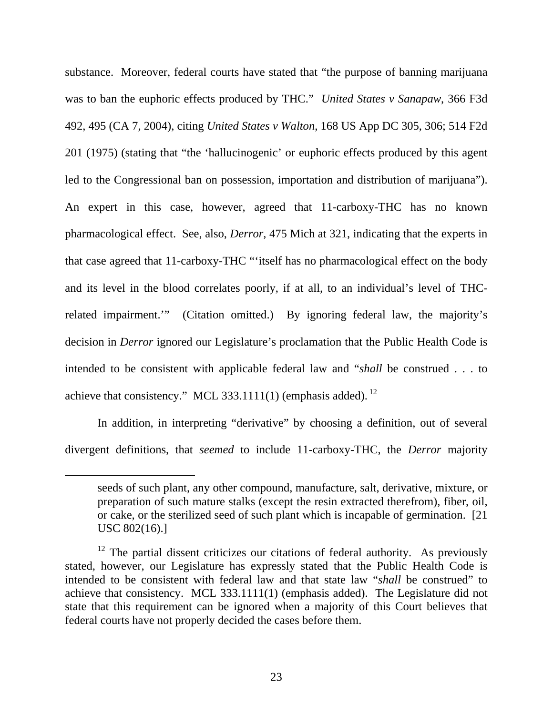substance. Moreover, federal courts have stated that "the purpose of banning marijuana was to ban the euphoric effects produced by THC." *United States v Sanapaw*, 366 F3d 492, 495 (CA 7, 2004), citing *United States v Walton*, 168 US App DC 305, 306; 514 F2d 201 (1975) (stating that "the 'hallucinogenic' or euphoric effects produced by this agent led to the Congressional ban on possession, importation and distribution of marijuana"). An expert in this case, however, agreed that 11-carboxy-THC has no known pharmacological effect. See, also, *Derror*, 475 Mich at 321, indicating that the experts in that case agreed that 11-carboxy-THC "'itself has no pharmacological effect on the body and its level in the blood correlates poorly, if at all, to an individual's level of THCrelated impairment.'" (Citation omitted.) By ignoring federal law, the majority's decision in *Derror* ignored our Legislature's proclamation that the Public Health Code is intended to be consistent with applicable federal law and "*shall* be construed . . . to achieve that consistency." MCL 333.1111(1) (emphasis added).  $^{12}$ 

In addition, in interpreting "derivative" by choosing a definition, out of several divergent definitions, that *seemed* to include 11-carboxy-THC, the *Derror* majority

 $\overline{a}$ 

seeds of such plant, any other compound, manufacture, salt, derivative, mixture, or preparation of such mature stalks (except the resin extracted therefrom), fiber, oil, or cake, or the sterilized seed of such plant which is incapable of germination. [21 USC 802(16).]

 $12$  The partial dissent criticizes our citations of federal authority. As previously stated, however, our Legislature has expressly stated that the Public Health Code is intended to be consistent with federal law and that state law "*shall* be construed" to achieve that consistency. MCL 333.1111(1) (emphasis added). The Legislature did not state that this requirement can be ignored when a majority of this Court believes that federal courts have not properly decided the cases before them.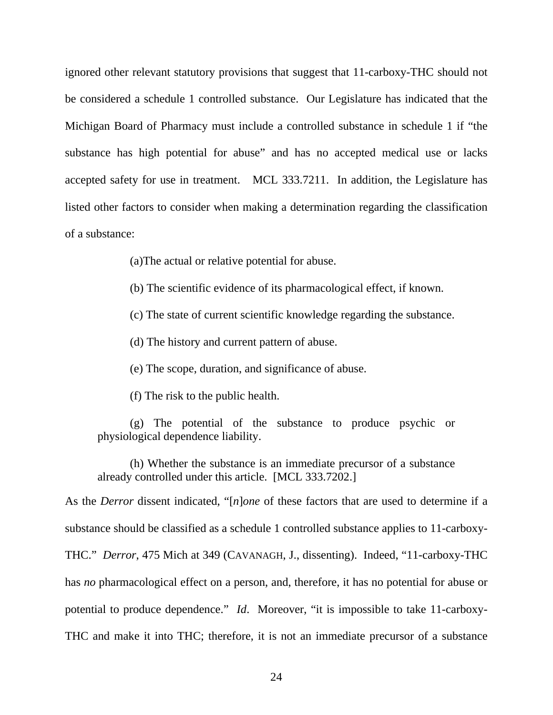ignored other relevant statutory provisions that suggest that 11-carboxy-THC should not be considered a schedule 1 controlled substance. Our Legislature has indicated that the Michigan Board of Pharmacy must include a controlled substance in schedule 1 if "the substance has high potential for abuse" and has no accepted medical use or lacks accepted safety for use in treatment. MCL 333.7211. In addition, the Legislature has listed other factors to consider when making a determination regarding the classification of a substance:

(a)The actual or relative potential for abuse.

(b) The scientific evidence of its pharmacological effect, if known.

(c) The state of current scientific knowledge regarding the substance.

(d) The history and current pattern of abuse.

(e) The scope, duration, and significance of abuse.

(f) The risk to the public health.

(g) The potential of the substance to produce psychic or physiological dependence liability.

(h) Whether the substance is an immediate precursor of a substance already controlled under this article. [MCL 333.7202.]

As the *Derror* dissent indicated, "[*n*]*one* of these factors that are used to determine if a substance should be classified as a schedule 1 controlled substance applies to 11-carboxy-THC." *Derror*, 475 Mich at 349 (CAVANAGH, J., dissenting). Indeed, "11-carboxy-THC has *no* pharmacological effect on a person, and, therefore, it has no potential for abuse or potential to produce dependence." *Id*. Moreover, "it is impossible to take 11-carboxy-THC and make it into THC; therefore, it is not an immediate precursor of a substance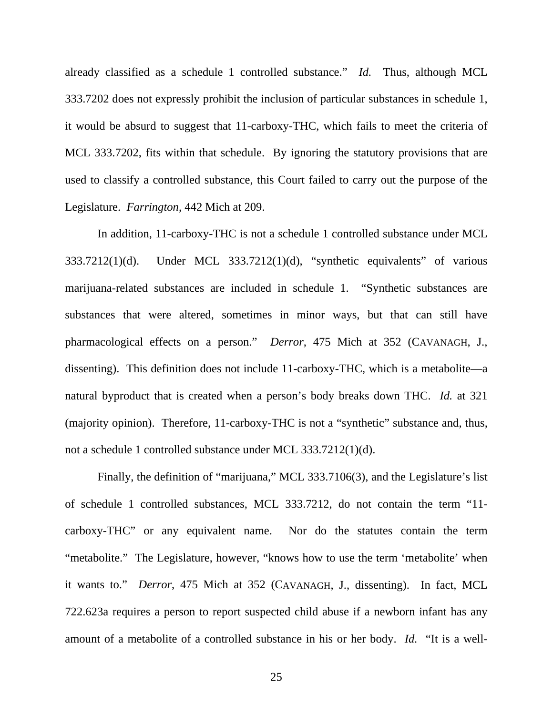already classified as a schedule 1 controlled substance." *Id.* Thus, although MCL 333.7202 does not expressly prohibit the inclusion of particular substances in schedule 1, it would be absurd to suggest that 11-carboxy-THC, which fails to meet the criteria of MCL 333.7202, fits within that schedule. By ignoring the statutory provisions that are used to classify a controlled substance, this Court failed to carry out the purpose of the Legislature. *Farrington*, 442 Mich at 209.

 In addition, 11-carboxy-THC is not a schedule 1 controlled substance under MCL 333.7212(1)(d). Under MCL 333.7212(1)(d), "synthetic equivalents" of various marijuana-related substances are included in schedule 1. "Synthetic substances are substances that were altered, sometimes in minor ways, but that can still have pharmacological effects on a person." *Derror*, 475 Mich at 352 (CAVANAGH, J., dissenting). This definition does not include 11-carboxy-THC, which is a metabolite—a natural byproduct that is created when a person's body breaks down THC. *Id.* at 321 (majority opinion). Therefore, 11-carboxy-THC is not a "synthetic" substance and, thus, not a schedule 1 controlled substance under MCL 333.7212(1)(d).

 Finally, the definition of "marijuana," MCL 333.7106(3), and the Legislature's list of schedule 1 controlled substances, MCL 333.7212, do not contain the term "11 carboxy-THC" or any equivalent name. Nor do the statutes contain the term "metabolite." The Legislature, however, "knows how to use the term 'metabolite' when it wants to." *Derror*, 475 Mich at 352 (CAVANAGH, J., dissenting). In fact, MCL 722.623a requires a person to report suspected child abuse if a newborn infant has any amount of a metabolite of a controlled substance in his or her body. *Id.* "It is a well-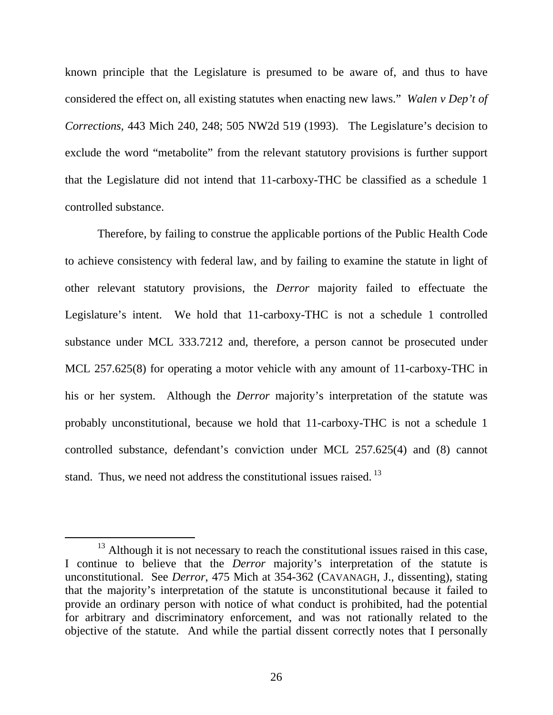known principle that the Legislature is presumed to be aware of, and thus to have considered the effect on, all existing statutes when enacting new laws." *Walen v Dep't of Corrections*, 443 Mich 240, 248; 505 NW2d 519 (1993). The Legislature's decision to exclude the word "metabolite" from the relevant statutory provisions is further support that the Legislature did not intend that 11-carboxy-THC be classified as a schedule 1 controlled substance.

Therefore, by failing to construe the applicable portions of the Public Health Code to achieve consistency with federal law, and by failing to examine the statute in light of other relevant statutory provisions, the *Derror* majority failed to effectuate the Legislature's intent. We hold that 11-carboxy-THC is not a schedule 1 controlled substance under MCL 333.7212 and, therefore, a person cannot be prosecuted under MCL 257.625(8) for operating a motor vehicle with any amount of 11-carboxy-THC in his or her system. Although the *Derror* majority's interpretation of the statute was probably unconstitutional, because we hold that 11-carboxy-THC is not a schedule 1 controlled substance, defendant's conviction under MCL 257.625(4) and (8) cannot stand. Thus, we need not address the constitutional issues raised.<sup>13</sup>

 $13$  Although it is not necessary to reach the constitutional issues raised in this case, I continue to believe that the *Derror* majority's interpretation of the statute is unconstitutional. See *Derror*, 475 Mich at 354-362 (CAVANAGH, J., dissenting), stating that the majority's interpretation of the statute is unconstitutional because it failed to provide an ordinary person with notice of what conduct is prohibited, had the potential for arbitrary and discriminatory enforcement, and was not rationally related to the objective of the statute. And while the partial dissent correctly notes that I personally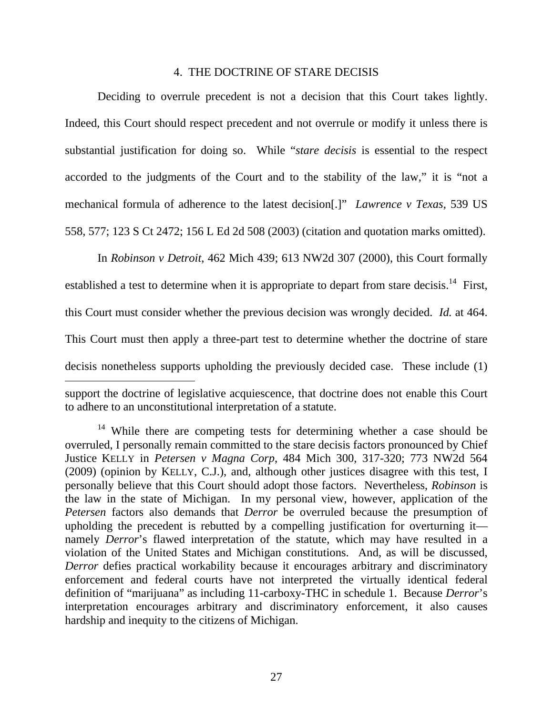#### 4. THE DOCTRINE OF STARE DECISIS

 Deciding to overrule precedent is not a decision that this Court takes lightly. Indeed, this Court should respect precedent and not overrule or modify it unless there is substantial justification for doing so. While "*stare decisis* is essential to the respect accorded to the judgments of the Court and to the stability of the law," it is "not a mechanical formula of adherence to the latest decision[.]" *Lawrence v Texas*, 539 US 558, 577; 123 S Ct 2472; 156 L Ed 2d 508 (2003) (citation and quotation marks omitted).

 In *Robinson v Detroit*, 462 Mich 439; 613 NW2d 307 (2000), this Court formally established a test to determine when it is appropriate to depart from stare decisis.<sup>14</sup> First, this Court must consider whether the previous decision was wrongly decided. *Id.* at 464. This Court must then apply a three-part test to determine whether the doctrine of stare decisis nonetheless supports upholding the previously decided case. These include (1)  $\overline{a}$ 

support the doctrine of legislative acquiescence, that doctrine does not enable this Court to adhere to an unconstitutional interpretation of a statute.

<sup>&</sup>lt;sup>14</sup> While there are competing tests for determining whether a case should be overruled, I personally remain committed to the stare decisis factors pronounced by Chief Justice KELLY in *Petersen v Magna Corp*, 484 Mich 300, 317-320; 773 NW2d 564 (2009) (opinion by KELLY, C.J.), and, although other justices disagree with this test, I personally believe that this Court should adopt those factors. Nevertheless, *Robinson* is the law in the state of Michigan. In my personal view, however, application of the *Petersen* factors also demands that *Derror* be overruled because the presumption of upholding the precedent is rebutted by a compelling justification for overturning it namely *Derror*'s flawed interpretation of the statute, which may have resulted in a violation of the United States and Michigan constitutions. And, as will be discussed, *Derror* defies practical workability because it encourages arbitrary and discriminatory enforcement and federal courts have not interpreted the virtually identical federal definition of "marijuana" as including 11-carboxy-THC in schedule 1. Because *Derror*'s interpretation encourages arbitrary and discriminatory enforcement, it also causes hardship and inequity to the citizens of Michigan.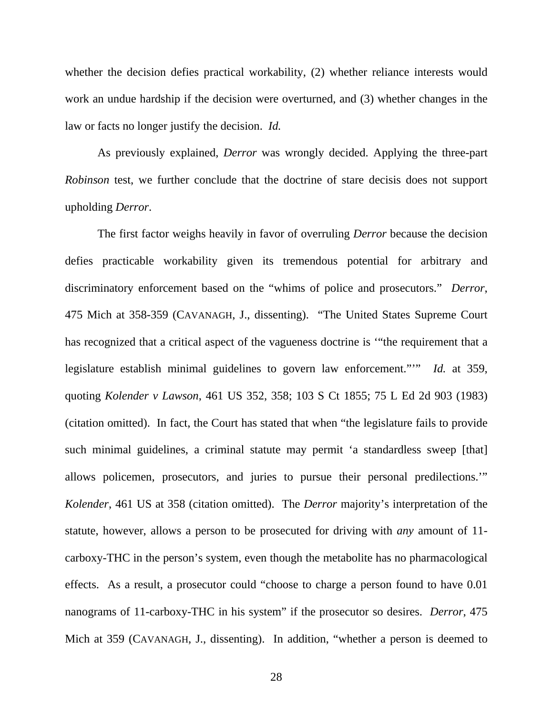whether the decision defies practical workability, (2) whether reliance interests would work an undue hardship if the decision were overturned, and (3) whether changes in the law or facts no longer justify the decision. *Id.*

As previously explained, *Derror* was wrongly decided. Applying the three-part *Robinson* test, we further conclude that the doctrine of stare decisis does not support upholding *Derror*.

The first factor weighs heavily in favor of overruling *Derror* because the decision defies practicable workability given its tremendous potential for arbitrary and discriminatory enforcement based on the "whims of police and prosecutors." *Derror*, 475 Mich at 358-359 (CAVANAGH, J., dissenting). "The United States Supreme Court has recognized that a critical aspect of the vagueness doctrine is '"the requirement that a legislature establish minimal guidelines to govern law enforcement."'" *Id.* at 359, quoting *Kolender v Lawson*, 461 US 352, 358; 103 S Ct 1855; 75 L Ed 2d 903 (1983) (citation omitted). In fact, the Court has stated that when "the legislature fails to provide such minimal guidelines, a criminal statute may permit 'a standardless sweep [that] allows policemen, prosecutors, and juries to pursue their personal predilections.'" *Kolender*, 461 US at 358 (citation omitted). The *Derror* majority's interpretation of the statute, however, allows a person to be prosecuted for driving with *any* amount of 11 carboxy-THC in the person's system, even though the metabolite has no pharmacological effects. As a result, a prosecutor could "choose to charge a person found to have 0.01 nanograms of 11-carboxy-THC in his system" if the prosecutor so desires. *Derror*, 475 Mich at 359 (CAVANAGH, J., dissenting). In addition, "whether a person is deemed to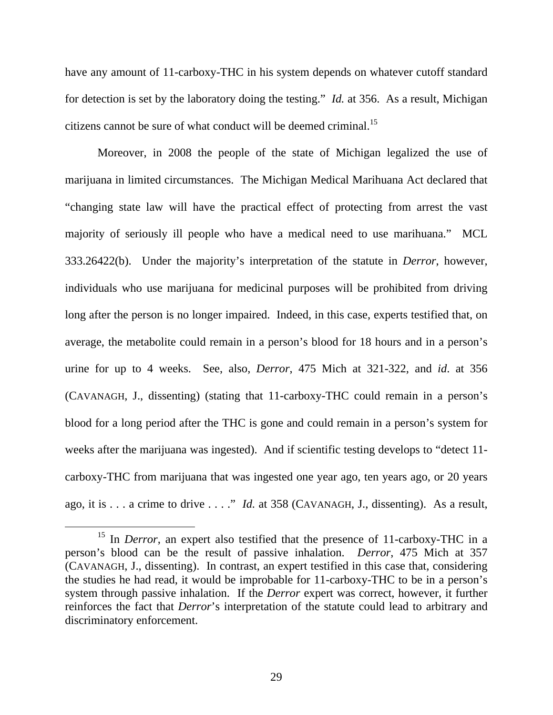have any amount of 11-carboxy-THC in his system depends on whatever cutoff standard for detection is set by the laboratory doing the testing." *Id.* at 356. As a result, Michigan citizens cannot be sure of what conduct will be deemed criminal.<sup>15</sup>

Moreover, in 2008 the people of the state of Michigan legalized the use of marijuana in limited circumstances. The Michigan Medical Marihuana Act declared that "changing state law will have the practical effect of protecting from arrest the vast majority of seriously ill people who have a medical need to use marihuana." MCL 333.26422(b). Under the majority's interpretation of the statute in *Derror*, however, individuals who use marijuana for medicinal purposes will be prohibited from driving long after the person is no longer impaired. Indeed, in this case, experts testified that, on average, the metabolite could remain in a person's blood for 18 hours and in a person's urine for up to 4 weeks. See, also, *Derror*, 475 Mich at 321-322, and *id*. at 356 (CAVANAGH, J., dissenting) (stating that 11-carboxy-THC could remain in a person's blood for a long period after the THC is gone and could remain in a person's system for weeks after the marijuana was ingested). And if scientific testing develops to "detect 11 carboxy-THC from marijuana that was ingested one year ago, ten years ago, or 20 years ago, it is . . . a crime to drive . . . ." *Id.* at 358 (CAVANAGH, J., dissenting). As a result,

<sup>&</sup>lt;sup>15</sup> In *Derror*, an expert also testified that the presence of 11-carboxy-THC in a person's blood can be the result of passive inhalation. *Derror*, 475 Mich at 357 (CAVANAGH, J., dissenting). In contrast, an expert testified in this case that, considering the studies he had read, it would be improbable for 11-carboxy-THC to be in a person's system through passive inhalation. If the *Derror* expert was correct, however, it further reinforces the fact that *Derror*'s interpretation of the statute could lead to arbitrary and discriminatory enforcement.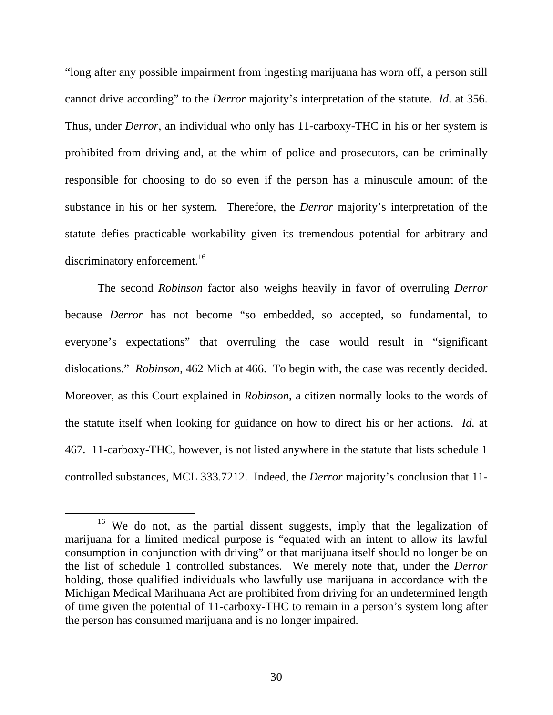"long after any possible impairment from ingesting marijuana has worn off, a person still cannot drive according" to the *Derror* majority's interpretation of the statute. *Id.* at 356. Thus, under *Derror*, an individual who only has 11-carboxy-THC in his or her system is prohibited from driving and, at the whim of police and prosecutors, can be criminally responsible for choosing to do so even if the person has a minuscule amount of the substance in his or her system. Therefore, the *Derror* majority's interpretation of the statute defies practicable workability given its tremendous potential for arbitrary and discriminatory enforcement.<sup>16</sup>

The second *Robinson* factor also weighs heavily in favor of overruling *Derror* because *Derror* has not become "so embedded, so accepted, so fundamental, to everyone's expectations" that overruling the case would result in "significant dislocations." *Robinson*, 462 Mich at 466. To begin with, the case was recently decided. Moreover, as this Court explained in *Robinson*, a citizen normally looks to the words of the statute itself when looking for guidance on how to direct his or her actions. *Id.* at 467. 11-carboxy-THC, however, is not listed anywhere in the statute that lists schedule 1 controlled substances, MCL 333.7212. Indeed, the *Derror* majority's conclusion that 11-

<sup>&</sup>lt;sup>16</sup> We do not, as the partial dissent suggests, imply that the legalization of marijuana for a limited medical purpose is "equated with an intent to allow its lawful consumption in conjunction with driving" or that marijuana itself should no longer be on the list of schedule 1 controlled substances. We merely note that, under the *Derror* holding, those qualified individuals who lawfully use marijuana in accordance with the Michigan Medical Marihuana Act are prohibited from driving for an undetermined length of time given the potential of 11-carboxy-THC to remain in a person's system long after the person has consumed marijuana and is no longer impaired.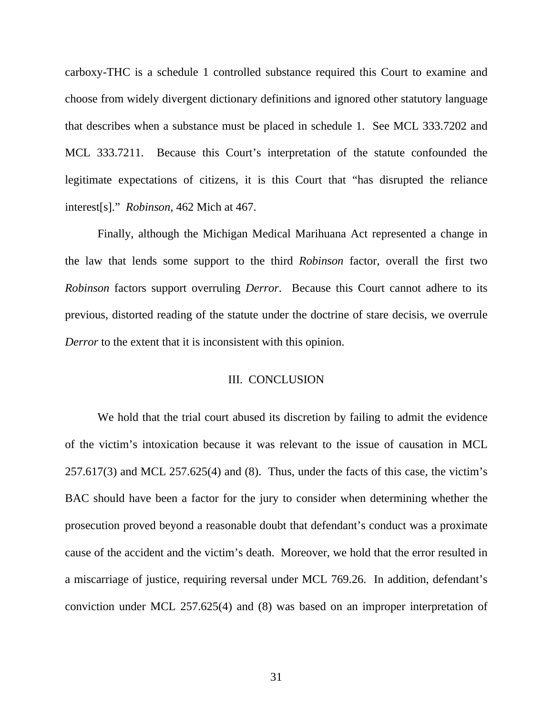carboxy-THC is a schedule 1 controlled substance required this Court to examine and choose from widely divergent dictionary definitions and ignored other statutory language that describes when a substance must be placed in schedule 1. See MCL 333.7202 and MCL 333.7211. Because this Court's interpretation of the statute confounded the legitimate expectations of citizens, it is this Court that "has disrupted the reliance interest[s]." *Robinson*, 462 Mich at 467.

Finally, although the Michigan Medical Marihuana Act represented a change in the law that lends some support to the third *Robinson* factor, overall the first two *Robinson* factors support overruling *Derror*. Because this Court cannot adhere to its previous, distorted reading of the statute under the doctrine of stare decisis, we overrule *Derror* to the extent that it is inconsistent with this opinion.

## III. CONCLUSION

We hold that the trial court abused its discretion by failing to admit the evidence of the victim's intoxication because it was relevant to the issue of causation in MCL 257.617(3) and MCL 257.625(4) and (8). Thus, under the facts of this case, the victim's BAC should have been a factor for the jury to consider when determining whether the prosecution proved beyond a reasonable doubt that defendant's conduct was a proximate cause of the accident and the victim's death. Moreover, we hold that the error resulted in a miscarriage of justice, requiring reversal under MCL 769.26. In addition, defendant's conviction under MCL 257.625(4) and (8) was based on an improper interpretation of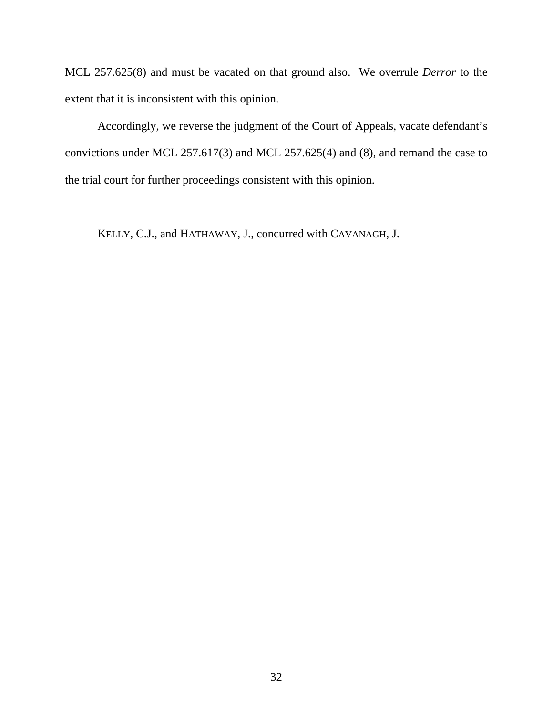MCL 257.625(8) and must be vacated on that ground also. We overrule *Derror* to the extent that it is inconsistent with this opinion.

Accordingly, we reverse the judgment of the Court of Appeals, vacate defendant's convictions under MCL 257.617(3) and MCL 257.625(4) and (8), and remand the case to the trial court for further proceedings consistent with this opinion.

KELLY, C.J., and HATHAWAY, J., concurred with CAVANAGH, J.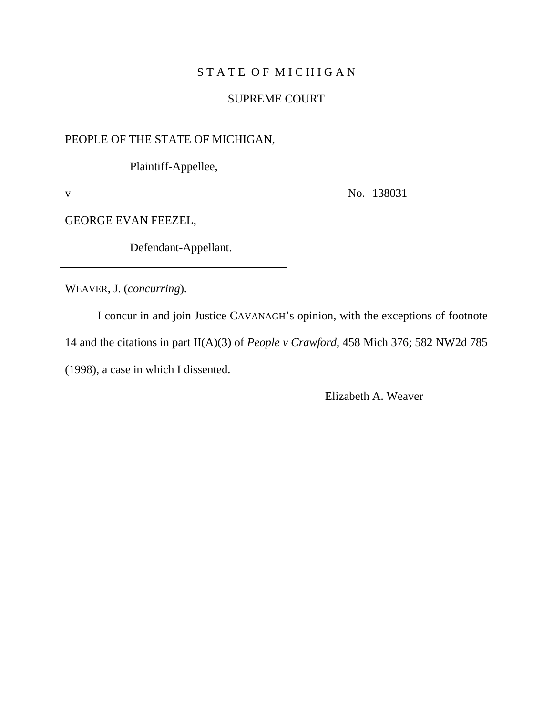# STATE OF MICHIGAN

# SUPREME COURT

# PEOPLE OF THE STATE OF MICHIGAN,

Plaintiff-Appellee,

v No. 138031

GEORGE EVAN FEEZEL,

Defendant-Appellant.

WEAVER, J. (*concurring*).

I concur in and join Justice CAVANAGH's opinion, with the exceptions of footnote 14 and the citations in part II(A)(3) of *People v Crawford*, 458 Mich 376; 582 NW2d 785 (1998), a case in which I dissented.

Elizabeth A. Weaver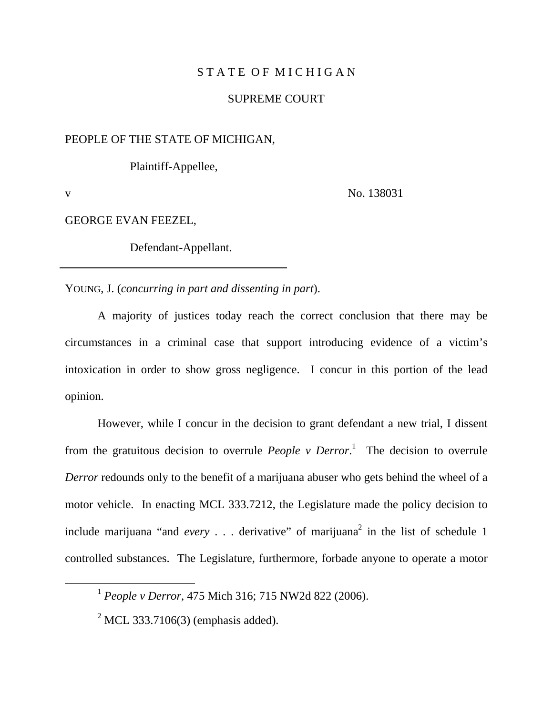# STATE OF MICHIGAN

## SUPREME COURT

# PEOPLE OF THE STATE OF MICHIGAN,

Plaintiff-Appellee,

v No. 138031

## GEORGE EVAN FEEZEL,

Defendant-Appellant.

YOUNG, J. (*concurring in part and dissenting in part*).

A majority of justices today reach the correct conclusion that there may be circumstances in a criminal case that support introducing evidence of a victim's intoxication in order to show gross negligence. I concur in this portion of the lead opinion.

However, while I concur in the decision to grant defendant a new trial, I dissent from the gratuitous decision to overrule *People v Derror*. 1 The decision to overrule *Derror* redounds only to the benefit of a marijuana abuser who gets behind the wheel of a motor vehicle. In enacting MCL 333.7212, the Legislature made the policy decision to include marijuana "and *every* . . . derivative" of marijuana<sup>2</sup> in the list of schedule 1 controlled substances. The Legislature, furthermore, forbade anyone to operate a motor

 <sup>1</sup> *People v Derror*, 475 Mich 316; 715 NW2d 822 (2006).

 $2^2$  MCL 333.7106(3) (emphasis added).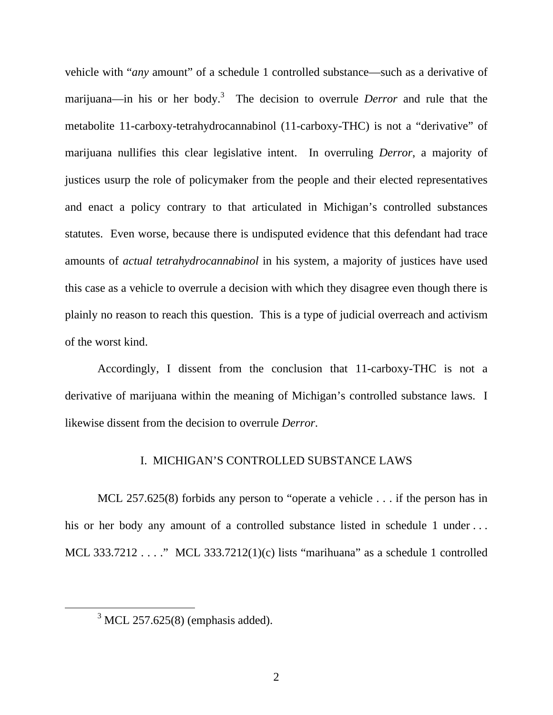vehicle with "*any* amount" of a schedule 1 controlled substance—such as a derivative of marijuana—in his or her body.<sup>3</sup> The decision to overrule *Derror* and rule that the metabolite 11-carboxy-tetrahydrocannabinol (11-carboxy-THC) is not a "derivative" of marijuana nullifies this clear legislative intent. In overruling *Derror*, a majority of justices usurp the role of policymaker from the people and their elected representatives and enact a policy contrary to that articulated in Michigan's controlled substances statutes. Even worse, because there is undisputed evidence that this defendant had trace amounts of *actual tetrahydrocannabinol* in his system, a majority of justices have used this case as a vehicle to overrule a decision with which they disagree even though there is plainly no reason to reach this question. This is a type of judicial overreach and activism of the worst kind.

Accordingly, I dissent from the conclusion that 11-carboxy-THC is not a derivative of marijuana within the meaning of Michigan's controlled substance laws. I likewise dissent from the decision to overrule *Derror*.

#### I. MICHIGAN'S CONTROLLED SUBSTANCE LAWS

MCL 257.625(8) forbids any person to "operate a vehicle . . . if the person has in his or her body any amount of a controlled substance listed in schedule 1 under ... MCL 333.7212 . . . ." MCL 333.7212(1)(c) lists "marihuana" as a schedule 1 controlled

 $\frac{1}{3}$  $3$  MCL 257.625(8) (emphasis added).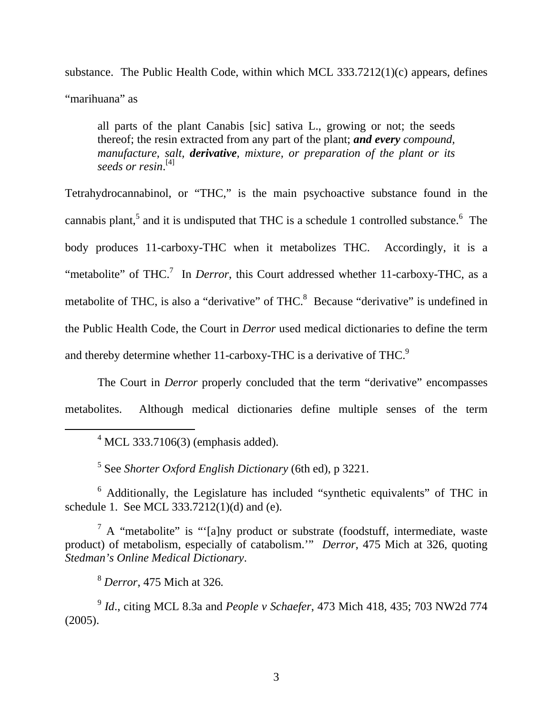substance. The Public Health Code, within which MCL 333.7212(1)(c) appears, defines "marihuana" as

all parts of the plant Canabis [sic] sativa L., growing or not; the seeds thereof; the resin extracted from any part of the plant; *and every compound, manufacture, salt, derivative, mixture, or preparation of the plant or its seeds or resin*. [4]

Tetrahydrocannabinol, or "THC," is the main psychoactive substance found in the cannabis plant,<sup>5</sup> and it is undisputed that THC is a schedule 1 controlled substance.<sup>6</sup> The body produces 11-carboxy-THC when it metabolizes THC. Accordingly, it is a "metabolite" of THC.<sup>7</sup> In *Derror*, this Court addressed whether 11-carboxy-THC, as a metabolite of THC, is also a "derivative" of THC. $<sup>8</sup>$  Because "derivative" is undefined in</sup> the Public Health Code, the Court in *Derror* used medical dictionaries to define the term and thereby determine whether 11-carboxy-THC is a derivative of THC.<sup>9</sup>

The Court in *Derror* properly concluded that the term "derivative" encompasses metabolites. Although medical dictionaries define multiple senses of the term

 $\overline{4}$  $4$  MCL 333.7106(3) (emphasis added).

5 See *Shorter Oxford English Dictionary* (6th ed), p 3221.

<sup>6</sup> Additionally, the Legislature has included "synthetic equivalents" of THC in schedule 1. See MCL 333.7212(1)(d) and (e).

<sup>7</sup> A "metabolite" is "'[a]ny product or substrate (foodstuff, intermediate, waste product) of metabolism, especially of catabolism.'" *Derror*, 475 Mich at 326, quoting *Stedman's Online Medical Dictionary*.

<sup>8</sup> *Derror*, 475 Mich at 326*.*

<sup>9</sup> *Id*., citing MCL 8.3a and *People v Schaefer*, 473 Mich 418, 435; 703 NW2d 774 (2005).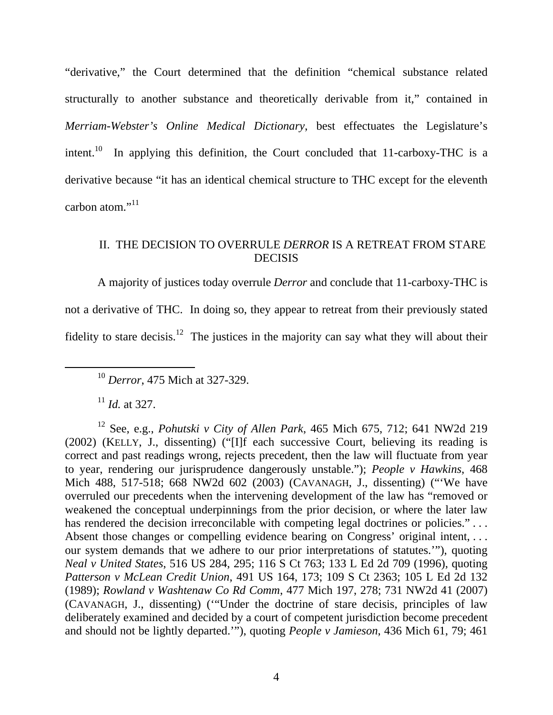"derivative," the Court determined that the definition "chemical substance related structurally to another substance and theoretically derivable from it," contained in *Merriam-Webster's Online Medical Dictionary*, best effectuates the Legislature's intent.<sup>10</sup> In applying this definition, the Court concluded that  $11$ -carboxy-THC is a derivative because "it has an identical chemical structure to THC except for the eleventh carbon atom."<sup>11</sup>

# II. THE DECISION TO OVERRULE *DERROR* IS A RETREAT FROM STARE **DECISIS**

A majority of justices today overrule *Derror* and conclude that 11-carboxy-THC is not a derivative of THC. In doing so, they appear to retreat from their previously stated fidelity to stare decisis.<sup>12</sup> The justices in the majority can say what they will about their

<sup>11</sup> *Id.* at 327.

12 See, e.g., *Pohutski v City of Allen Park*, 465 Mich 675, 712; 641 NW2d 219 (2002) (KELLY, J., dissenting) ("[I]f each successive Court, believing its reading is correct and past readings wrong, rejects precedent, then the law will fluctuate from year to year, rendering our jurisprudence dangerously unstable."); *People v Hawkins*, 468 Mich 488, 517-518; 668 NW2d 602 (2003) (CAVANAGH, J., dissenting) ("'We have overruled our precedents when the intervening development of the law has "removed or weakened the conceptual underpinnings from the prior decision, or where the later law has rendered the decision irreconcilable with competing legal doctrines or policies." . . . Absent those changes or compelling evidence bearing on Congress' original intent, ... our system demands that we adhere to our prior interpretations of statutes.'"), quoting *Neal v United States*, 516 US 284, 295; 116 S Ct 763; 133 L Ed 2d 709 (1996), quoting *Patterson v McLean Credit Union*, 491 US 164, 173; 109 S Ct 2363; 105 L Ed 2d 132 (1989); *Rowland v Washtenaw Co Rd Comm*, 477 Mich 197, 278; 731 NW2d 41 (2007) (CAVANAGH, J., dissenting) ('"Under the doctrine of stare decisis, principles of law deliberately examined and decided by a court of competent jurisdiction become precedent and should not be lightly departed.'"), quoting *People v Jamieson*, 436 Mich 61, 79; 461

 <sup>10</sup> *Derror*, 475 Mich at 327-329.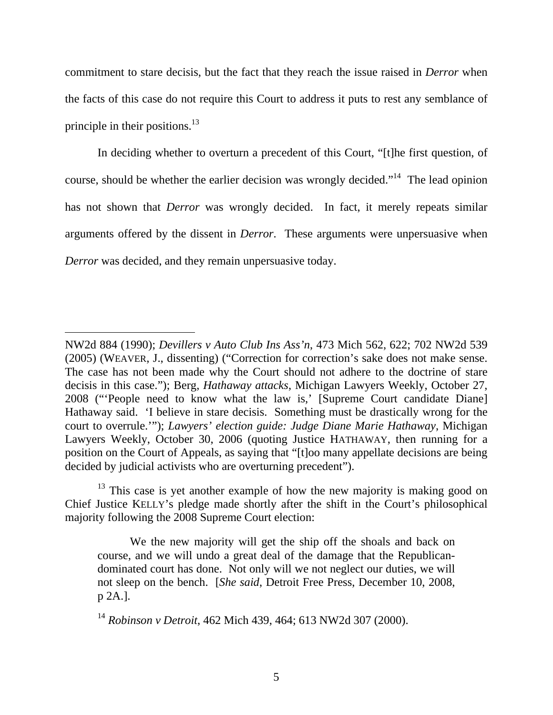commitment to stare decisis, but the fact that they reach the issue raised in *Derror* when the facts of this case do not require this Court to address it puts to rest any semblance of principle in their positions. $13$ 

In deciding whether to overturn a precedent of this Court, "[t]he first question, of course, should be whether the earlier decision was wrongly decided."<sup>14</sup> The lead opinion has not shown that *Derror* was wrongly decided. In fact, it merely repeats similar arguments offered by the dissent in *Derror*. These arguments were unpersuasive when *Derror* was decided, and they remain unpersuasive today.

 $\overline{a}$ 

NW2d 884 (1990); *Devillers v Auto Club Ins Ass'n*, 473 Mich 562, 622; 702 NW2d 539 (2005) (WEAVER, J., dissenting) ("Correction for correction's sake does not make sense. The case has not been made why the Court should not adhere to the doctrine of stare decisis in this case."); Berg, *Hathaway attacks*, Michigan Lawyers Weekly, October 27, 2008 ("'People need to know what the law is,' [Supreme Court candidate Diane] Hathaway said. 'I believe in stare decisis. Something must be drastically wrong for the court to overrule.'"); *Lawyers' election guide: Judge Diane Marie Hathaway*, Michigan Lawyers Weekly, October 30, 2006 (quoting Justice HATHAWAY, then running for a position on the Court of Appeals, as saying that "[t]oo many appellate decisions are being decided by judicial activists who are overturning precedent").

 $13$  This case is yet another example of how the new majority is making good on Chief Justice KELLY's pledge made shortly after the shift in the Court's philosophical majority following the 2008 Supreme Court election:

We the new majority will get the ship off the shoals and back on course, and we will undo a great deal of the damage that the Republicandominated court has done. Not only will we not neglect our duties, we will not sleep on the bench. [*She said*, Detroit Free Press, December 10, 2008, p 2A.].

<sup>14</sup> *Robinson v Detroit*, 462 Mich 439, 464; 613 NW2d 307 (2000).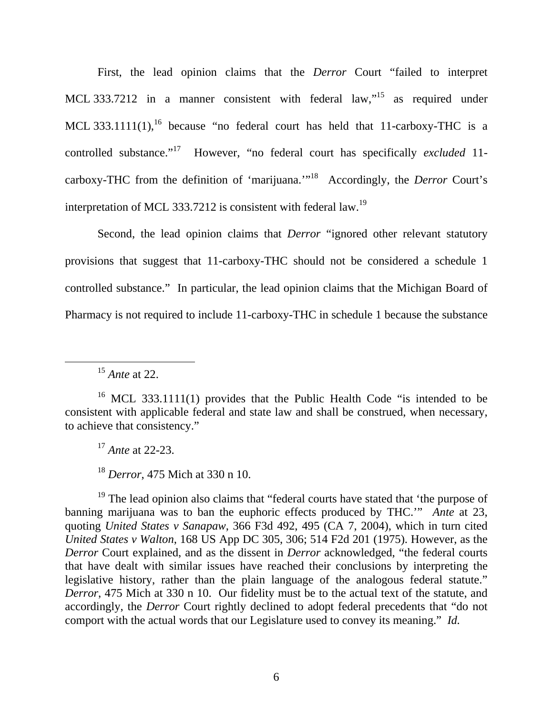First, the lead opinion claims that the *Derror* Court "failed to interpret MCL 333.7212 in a manner consistent with federal law,<sup>15</sup> as required under MCL 333.1111(1),<sup>16</sup> because "no federal court has held that 11-carboxy-THC is a controlled substance."17 However, "no federal court has specifically *excluded* 11 carboxy-THC from the definition of 'marijuana.'"18 Accordingly, the *Derror* Court's interpretation of MCL 333.7212 is consistent with federal law.<sup>19</sup>

Second, the lead opinion claims that *Derror* "ignored other relevant statutory provisions that suggest that 11-carboxy-THC should not be considered a schedule 1 controlled substance." In particular, the lead opinion claims that the Michigan Board of Pharmacy is not required to include 11-carboxy-THC in schedule 1 because the substance

<sup>17</sup> *Ante* at 22-23.

<sup>18</sup> *Derror*, 475 Mich at 330 n 10.

 $19$  The lead opinion also claims that "federal courts have stated that 'the purpose of banning marijuana was to ban the euphoric effects produced by THC.'" *Ante* at 23, quoting *United States v Sanapaw*, 366 F3d 492, 495 (CA 7, 2004), which in turn cited *United States v Walton*, 168 US App DC 305, 306; 514 F2d 201 (1975). However, as the *Derror* Court explained, and as the dissent in *Derror* acknowledged, "the federal courts that have dealt with similar issues have reached their conclusions by interpreting the legislative history, rather than the plain language of the analogous federal statute." *Derror*, 475 Mich at 330 n 10. Our fidelity must be to the actual text of the statute, and accordingly, the *Derror* Court rightly declined to adopt federal precedents that "do not comport with the actual words that our Legislature used to convey its meaning." *Id.*

 <sup>15</sup> *Ante* at 22.

<sup>&</sup>lt;sup>16</sup> MCL 333.1111(1) provides that the Public Health Code "is intended to be consistent with applicable federal and state law and shall be construed, when necessary, to achieve that consistency."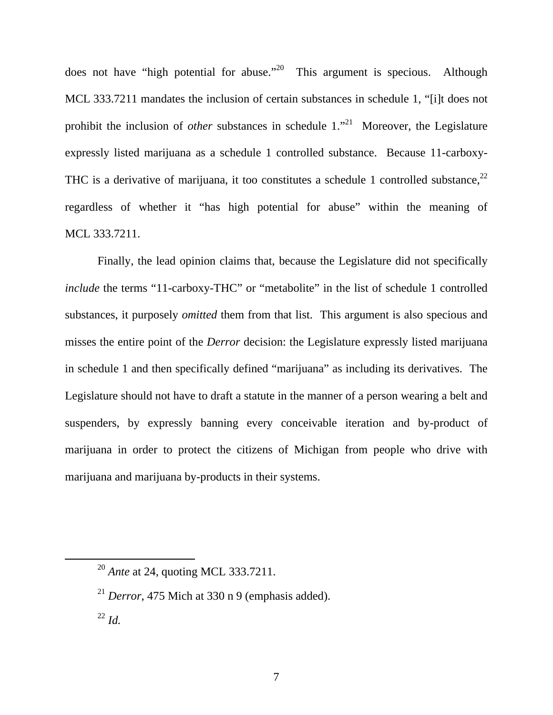does not have "high potential for abuse."20 This argument is specious. Although MCL 333.7211 mandates the inclusion of certain substances in schedule 1, "[i]t does not prohibit the inclusion of *other* substances in schedule 1.<sup>"21</sup> Moreover, the Legislature expressly listed marijuana as a schedule 1 controlled substance. Because 11-carboxy-THC is a derivative of marijuana, it too constitutes a schedule 1 controlled substance,  $22$ regardless of whether it "has high potential for abuse" within the meaning of MCL 333.7211.

Finally, the lead opinion claims that, because the Legislature did not specifically *include* the terms "11-carboxy-THC" or "metabolite" in the list of schedule 1 controlled substances, it purposely *omitted* them from that list. This argument is also specious and misses the entire point of the *Derror* decision: the Legislature expressly listed marijuana in schedule 1 and then specifically defined "marijuana" as including its derivatives. The Legislature should not have to draft a statute in the manner of a person wearing a belt and suspenders, by expressly banning every conceivable iteration and by-product of marijuana in order to protect the citizens of Michigan from people who drive with marijuana and marijuana by-products in their systems.

 <sup>20</sup> *Ante* at 24, quoting MCL 333.7211.

 $^{21}$  *Derror*, 475 Mich at 330 n 9 (emphasis added).

<sup>22</sup> *Id.*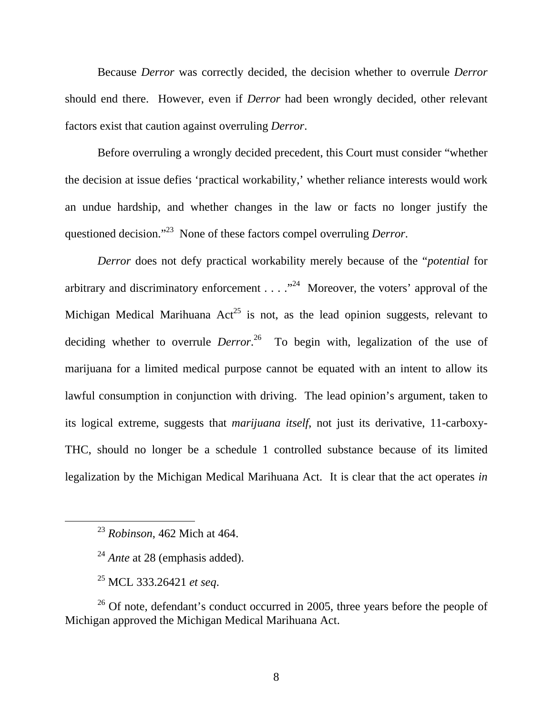Because *Derror* was correctly decided, the decision whether to overrule *Derror* should end there. However, even if *Derror* had been wrongly decided, other relevant factors exist that caution against overruling *Derror*.

Before overruling a wrongly decided precedent, this Court must consider "whether the decision at issue defies 'practical workability,' whether reliance interests would work an undue hardship, and whether changes in the law or facts no longer justify the questioned decision."23 None of these factors compel overruling *Derror*.

*Derror* does not defy practical workability merely because of the "*potential* for arbitrary and discriminatory enforcement  $\dots$   $\cdot$   $\cdot$   $\cdot$  Moreover, the voters' approval of the Michigan Medical Marihuana  $Act^{25}$  is not, as the lead opinion suggests, relevant to deciding whether to overrule *Derror*. 26 To begin with, legalization of the use of marijuana for a limited medical purpose cannot be equated with an intent to allow its lawful consumption in conjunction with driving. The lead opinion's argument, taken to its logical extreme, suggests that *marijuana itself*, not just its derivative, 11-carboxy-THC, should no longer be a schedule 1 controlled substance because of its limited legalization by the Michigan Medical Marihuana Act. It is clear that the act operates *in* 

 $^{26}$  Of note, defendant's conduct occurred in 2005, three years before the people of Michigan approved the Michigan Medical Marihuana Act.

 <sup>23</sup> *Robinson*, 462 Mich at 464.

<sup>&</sup>lt;sup>24</sup> *Ante* at 28 (emphasis added).

<sup>25</sup> MCL 333.26421 *et seq*.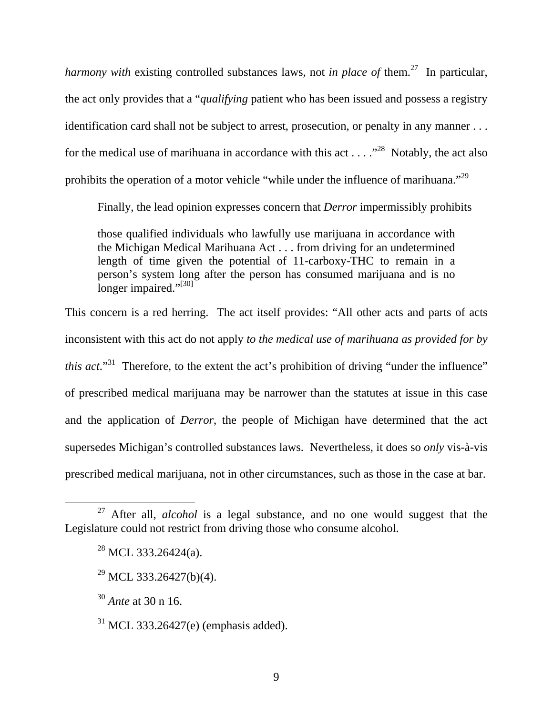*harmony with* existing controlled substances laws, not *in place of* them.<sup>27</sup> In particular, the act only provides that a "*qualifying* patient who has been issued and possess a registry identification card shall not be subject to arrest, prosecution, or penalty in any manner . . . for the medical use of marihuana in accordance with this act  $\dots$   $\cdot$ <sup>28</sup>. Notably, the act also prohibits the operation of a motor vehicle "while under the influence of marihuana."<sup>29</sup>

Finally, the lead opinion expresses concern that *Derror* impermissibly prohibits

those qualified individuals who lawfully use marijuana in accordance with the Michigan Medical Marihuana Act . . . from driving for an undetermined length of time given the potential of 11-carboxy-THC to remain in a person's system long after the person has consumed marijuana and is no longer impaired."<sup>[30]</sup>

This concern is a red herring. The act itself provides: "All other acts and parts of acts inconsistent with this act do not apply *to the medical use of marihuana as provided for by this act*."<sup>31</sup> Therefore, to the extent the act's prohibition of driving "under the influence" of prescribed medical marijuana may be narrower than the statutes at issue in this case and the application of *Derror*, the people of Michigan have determined that the act supersedes Michigan's controlled substances laws. Nevertheless, it does so *only* vis-à-vis prescribed medical marijuana, not in other circumstances, such as those in the case at bar.

<sup>30</sup> *Ante* at 30 n 16.

 $31$  MCL 333.26427(e) (emphasis added).

<sup>&</sup>lt;sup>27</sup> After all, *alcohol* is a legal substance, and no one would suggest that the Legislature could not restrict from driving those who consume alcohol.

 $^{28}$  MCL 333.26424(a).

 $^{29}$  MCL 333.26427(b)(4).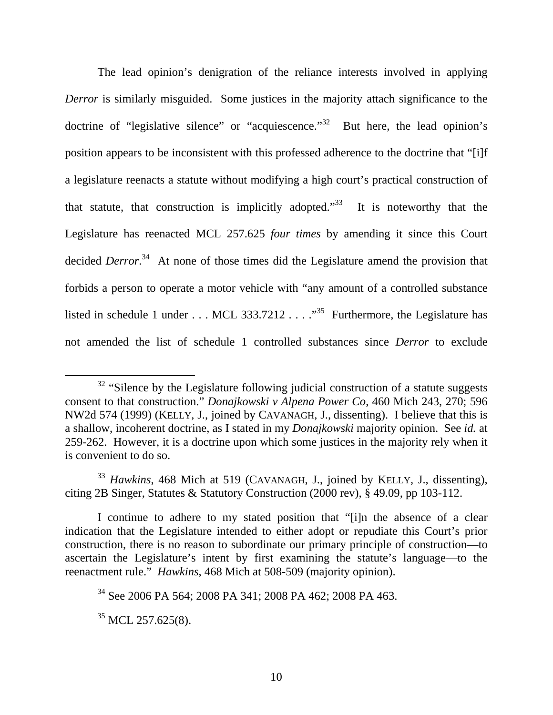The lead opinion's denigration of the reliance interests involved in applying *Derror* is similarly misguided. Some justices in the majority attach significance to the doctrine of "legislative silence" or "acquiescence."<sup>32</sup> But here, the lead opinion's position appears to be inconsistent with this professed adherence to the doctrine that "[i]f a legislature reenacts a statute without modifying a high court's practical construction of that statute, that construction is implicitly adopted. $133$  It is noteworthy that the Legislature has reenacted MCL 257.625 *four times* by amending it since this Court decided *Derror*. 34 At none of those times did the Legislature amend the provision that forbids a person to operate a motor vehicle with "any amount of a controlled substance listed in schedule 1 under . . . MCL 333.7212 . . .  $\cdot$ <sup>35</sup> Furthermore, the Legislature has not amended the list of schedule 1 controlled substances since *Derror* to exclude

 $35$  MCL 257.625(8).

<sup>&</sup>lt;sup>32</sup> "Silence by the Legislature following judicial construction of a statute suggests consent to that construction." *Donajkowski v Alpena Power Co*, 460 Mich 243, 270; 596 NW2d 574 (1999) (KELLY, J., joined by CAVANAGH, J., dissenting). I believe that this is a shallow, incoherent doctrine, as I stated in my *Donajkowski* majority opinion. See *id.* at 259-262. However, it is a doctrine upon which some justices in the majority rely when it is convenient to do so.

<sup>33</sup> *Hawkins*, 468 Mich at 519 (CAVANAGH, J., joined by KELLY, J., dissenting), citing 2B Singer, Statutes & Statutory Construction (2000 rev), § 49.09, pp 103-112.

I continue to adhere to my stated position that "[i]n the absence of a clear indication that the Legislature intended to either adopt or repudiate this Court's prior construction, there is no reason to subordinate our primary principle of construction—to ascertain the Legislature's intent by first examining the statute's language—to the reenactment rule." *Hawkins*, 468 Mich at 508-509 (majority opinion).

<sup>34</sup> See 2006 PA 564; 2008 PA 341; 2008 PA 462; 2008 PA 463.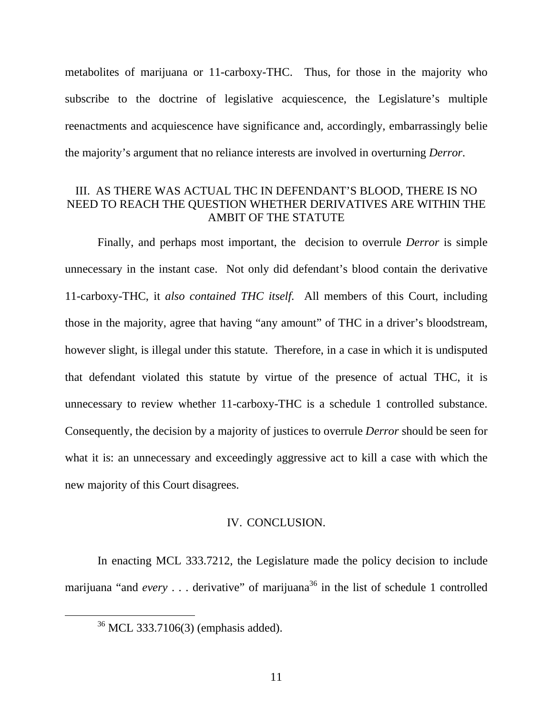metabolites of marijuana or 11-carboxy-THC. Thus, for those in the majority who subscribe to the doctrine of legislative acquiescence, the Legislature's multiple reenactments and acquiescence have significance and, accordingly, embarrassingly belie the majority's argument that no reliance interests are involved in overturning *Derror*.

# III. AS THERE WAS ACTUAL THC IN DEFENDANT'S BLOOD, THERE IS NO NEED TO REACH THE QUESTION WHETHER DERIVATIVES ARE WITHIN THE AMBIT OF THE STATUTE

Finally, and perhaps most important, the decision to overrule *Derror* is simple unnecessary in the instant case. Not only did defendant's blood contain the derivative 11-carboxy-THC, it *also contained THC itself*. All members of this Court, including those in the majority, agree that having "any amount" of THC in a driver's bloodstream, however slight, is illegal under this statute. Therefore, in a case in which it is undisputed that defendant violated this statute by virtue of the presence of actual THC, it is unnecessary to review whether 11-carboxy-THC is a schedule 1 controlled substance. Consequently, the decision by a majority of justices to overrule *Derror* should be seen for what it is: an unnecessary and exceedingly aggressive act to kill a case with which the new majority of this Court disagrees.

## IV. CONCLUSION.

In enacting MCL 333.7212, the Legislature made the policy decision to include marijuana "and *every* . . . derivative" of marijuana<sup>36</sup> in the list of schedule 1 controlled

 <sup>36</sup> MCL 333.7106(3) (emphasis added).